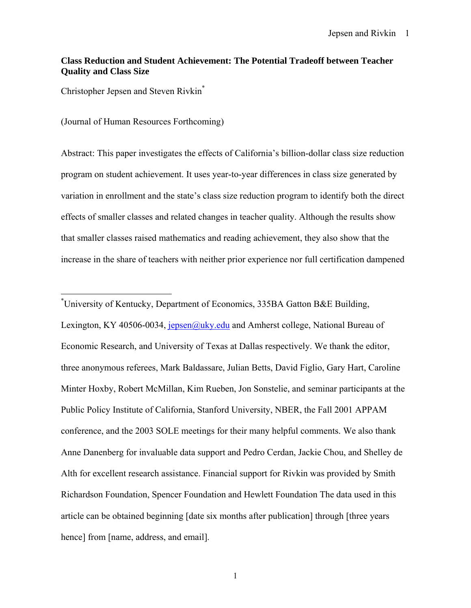### **Class Reduction and Student Achievement: The Potential Tradeoff between Teacher Quality and Class Size**

Christopher Jepsen and Steven Rivkin\*

 $\overline{a}$ 

(Journal of Human Resources Forthcoming)

Abstract: This paper investigates the effects of California's billion-dollar class size reduction program on student achievement. It uses year-to-year differences in class size generated by variation in enrollment and the state's class size reduction program to identify both the direct effects of smaller classes and related changes in teacher quality. Although the results show that smaller classes raised mathematics and reading achievement, they also show that the increase in the share of teachers with neither prior experience nor full certification dampened

\* University of Kentucky, Department of Economics, 335BA Gatton B&E Building, Lexington, KY 40506-0034, jepsen@uky.edu and Amherst college, National Bureau of Economic Research, and University of Texas at Dallas respectively. We thank the editor, three anonymous referees, Mark Baldassare, Julian Betts, David Figlio, Gary Hart, Caroline Minter Hoxby, Robert McMillan, Kim Rueben, Jon Sonstelie, and seminar participants at the Public Policy Institute of California, Stanford University, NBER, the Fall 2001 APPAM conference, and the 2003 SOLE meetings for their many helpful comments. We also thank Anne Danenberg for invaluable data support and Pedro Cerdan, Jackie Chou, and Shelley de Alth for excellent research assistance. Financial support for Rivkin was provided by Smith Richardson Foundation, Spencer Foundation and Hewlett Foundation The data used in this article can be obtained beginning [date six months after publication] through [three years hence] from [name, address, and email].

1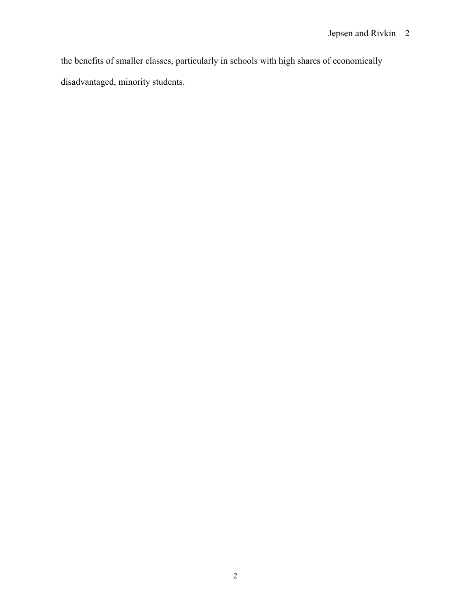# Jepsen and Rivkin 2

the benefits of smaller classes, particularly in schools with high shares of economically disadvantaged, minority students.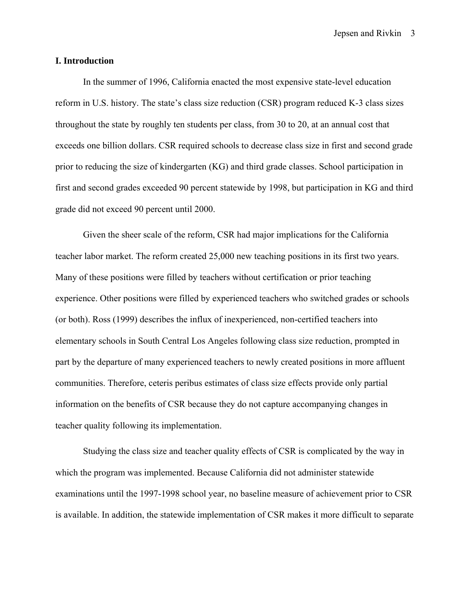Jepsen and Rivkin 3

#### **I. Introduction**

In the summer of 1996, California enacted the most expensive state-level education reform in U.S. history. The state's class size reduction (CSR) program reduced K-3 class sizes throughout the state by roughly ten students per class, from 30 to 20, at an annual cost that exceeds one billion dollars. CSR required schools to decrease class size in first and second grade prior to reducing the size of kindergarten (KG) and third grade classes. School participation in first and second grades exceeded 90 percent statewide by 1998, but participation in KG and third grade did not exceed 90 percent until 2000.

Given the sheer scale of the reform, CSR had major implications for the California teacher labor market. The reform created 25,000 new teaching positions in its first two years. Many of these positions were filled by teachers without certification or prior teaching experience. Other positions were filled by experienced teachers who switched grades or schools (or both). Ross (1999) describes the influx of inexperienced, non-certified teachers into elementary schools in South Central Los Angeles following class size reduction, prompted in part by the departure of many experienced teachers to newly created positions in more affluent communities. Therefore, ceteris peribus estimates of class size effects provide only partial information on the benefits of CSR because they do not capture accompanying changes in teacher quality following its implementation.

Studying the class size and teacher quality effects of CSR is complicated by the way in which the program was implemented. Because California did not administer statewide examinations until the 1997-1998 school year, no baseline measure of achievement prior to CSR is available. In addition, the statewide implementation of CSR makes it more difficult to separate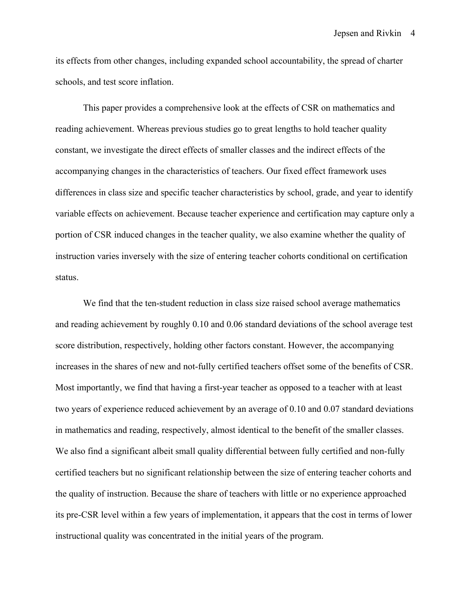its effects from other changes, including expanded school accountability, the spread of charter schools, and test score inflation.

This paper provides a comprehensive look at the effects of CSR on mathematics and reading achievement. Whereas previous studies go to great lengths to hold teacher quality constant, we investigate the direct effects of smaller classes and the indirect effects of the accompanying changes in the characteristics of teachers. Our fixed effect framework uses differences in class size and specific teacher characteristics by school, grade, and year to identify variable effects on achievement. Because teacher experience and certification may capture only a portion of CSR induced changes in the teacher quality, we also examine whether the quality of instruction varies inversely with the size of entering teacher cohorts conditional on certification status.

We find that the ten-student reduction in class size raised school average mathematics and reading achievement by roughly 0.10 and 0.06 standard deviations of the school average test score distribution, respectively, holding other factors constant. However, the accompanying increases in the shares of new and not-fully certified teachers offset some of the benefits of CSR. Most importantly, we find that having a first-year teacher as opposed to a teacher with at least two years of experience reduced achievement by an average of 0.10 and 0.07 standard deviations in mathematics and reading, respectively, almost identical to the benefit of the smaller classes. We also find a significant albeit small quality differential between fully certified and non-fully certified teachers but no significant relationship between the size of entering teacher cohorts and the quality of instruction. Because the share of teachers with little or no experience approached its pre-CSR level within a few years of implementation, it appears that the cost in terms of lower instructional quality was concentrated in the initial years of the program.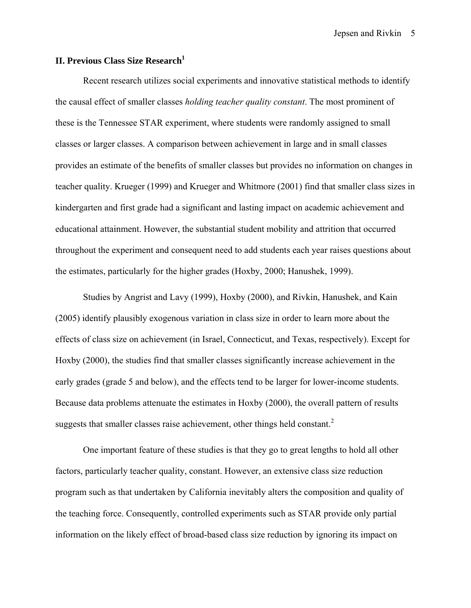### **II. Previous Class Size Research**<sup>1</sup>

Recent research utilizes social experiments and innovative statistical methods to identify the causal effect of smaller classes *holding teacher quality constant*. The most prominent of these is the Tennessee STAR experiment, where students were randomly assigned to small classes or larger classes. A comparison between achievement in large and in small classes provides an estimate of the benefits of smaller classes but provides no information on changes in teacher quality. Krueger (1999) and Krueger and Whitmore (2001) find that smaller class sizes in kindergarten and first grade had a significant and lasting impact on academic achievement and educational attainment. However, the substantial student mobility and attrition that occurred throughout the experiment and consequent need to add students each year raises questions about the estimates, particularly for the higher grades (Hoxby, 2000; Hanushek, 1999).

Studies by Angrist and Lavy (1999), Hoxby (2000), and Rivkin, Hanushek, and Kain (2005) identify plausibly exogenous variation in class size in order to learn more about the effects of class size on achievement (in Israel, Connecticut, and Texas, respectively). Except for Hoxby (2000), the studies find that smaller classes significantly increase achievement in the early grades (grade 5 and below), and the effects tend to be larger for lower-income students. Because data problems attenuate the estimates in Hoxby (2000), the overall pattern of results suggests that smaller classes raise achievement, other things held constant.<sup>2</sup>

One important feature of these studies is that they go to great lengths to hold all other factors, particularly teacher quality, constant. However, an extensive class size reduction program such as that undertaken by California inevitably alters the composition and quality of the teaching force. Consequently, controlled experiments such as STAR provide only partial information on the likely effect of broad-based class size reduction by ignoring its impact on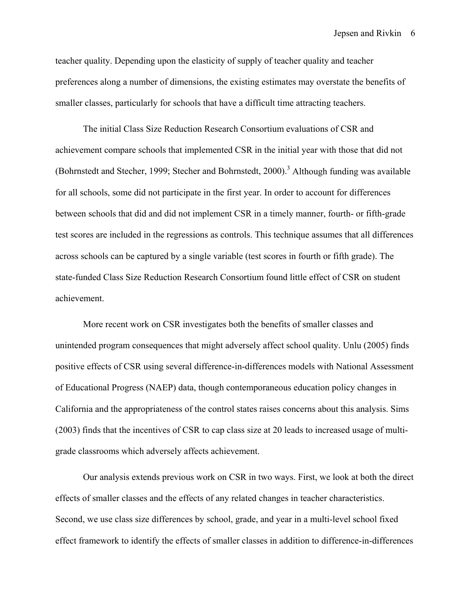teacher quality. Depending upon the elasticity of supply of teacher quality and teacher preferences along a number of dimensions, the existing estimates may overstate the benefits of smaller classes, particularly for schools that have a difficult time attracting teachers.

The initial Class Size Reduction Research Consortium evaluations of CSR and achievement compare schools that implemented CSR in the initial year with those that did not (Bohrnstedt and Stecher, 1999; Stecher and Bohrnstedt, 2000).<sup>3</sup> Although funding was available for all schools, some did not participate in the first year. In order to account for differences between schools that did and did not implement CSR in a timely manner, fourth- or fifth-grade test scores are included in the regressions as controls. This technique assumes that all differences across schools can be captured by a single variable (test scores in fourth or fifth grade). The state-funded Class Size Reduction Research Consortium found little effect of CSR on student achievement.

More recent work on CSR investigates both the benefits of smaller classes and unintended program consequences that might adversely affect school quality. Unlu (2005) finds positive effects of CSR using several difference-in-differences models with National Assessment of Educational Progress (NAEP) data, though contemporaneous education policy changes in California and the appropriateness of the control states raises concerns about this analysis. Sims (2003) finds that the incentives of CSR to cap class size at 20 leads to increased usage of multigrade classrooms which adversely affects achievement.

Our analysis extends previous work on CSR in two ways. First, we look at both the direct effects of smaller classes and the effects of any related changes in teacher characteristics. Second, we use class size differences by school, grade, and year in a multi-level school fixed effect framework to identify the effects of smaller classes in addition to difference-in-differences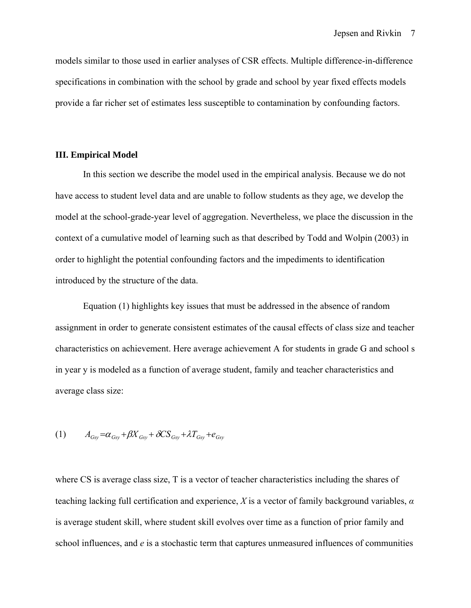models similar to those used in earlier analyses of CSR effects. Multiple difference-in-difference specifications in combination with the school by grade and school by year fixed effects models provide a far richer set of estimates less susceptible to contamination by confounding factors.

#### **III. Empirical Model**

In this section we describe the model used in the empirical analysis. Because we do not have access to student level data and are unable to follow students as they age, we develop the model at the school-grade-year level of aggregation. Nevertheless, we place the discussion in the context of a cumulative model of learning such as that described by Todd and Wolpin (2003) in order to highlight the potential confounding factors and the impediments to identification introduced by the structure of the data.

Equation (1) highlights key issues that must be addressed in the absence of random assignment in order to generate consistent estimates of the causal effects of class size and teacher characteristics on achievement. Here average achievement A for students in grade G and school s in year y is modeled as a function of average student, family and teacher characteristics and average class size:

$$
(1) \qquad A_{Gsy} = \alpha_{Gsy} + \beta X_{Gsy} + \delta CS_{Gsy} + \lambda T_{Gsy} + e_{Gsy}
$$

where CS is average class size, T is a vector of teacher characteristics including the shares of teaching lacking full certification and experience, *X* is a vector of family background variables, *α* is average student skill, where student skill evolves over time as a function of prior family and school influences, and *e* is a stochastic term that captures unmeasured influences of communities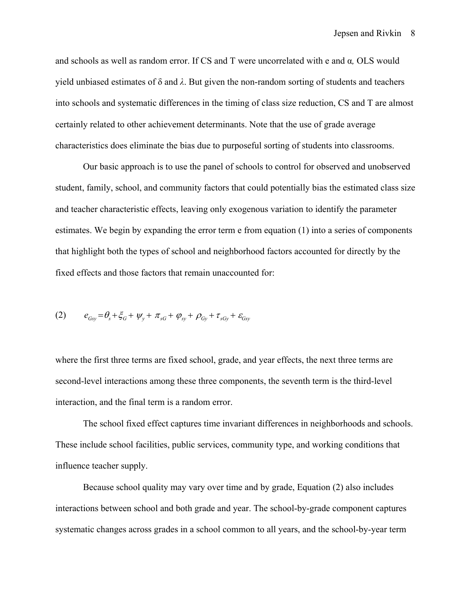and schools as well as random error. If CS and T were uncorrelated with e and α*,* OLS would yield unbiased estimates of δ and *λ*. But given the non-random sorting of students and teachers into schools and systematic differences in the timing of class size reduction, CS and T are almost certainly related to other achievement determinants. Note that the use of grade average characteristics does eliminate the bias due to purposeful sorting of students into classrooms.

Our basic approach is to use the panel of schools to control for observed and unobserved student, family, school, and community factors that could potentially bias the estimated class size and teacher characteristic effects, leaving only exogenous variation to identify the parameter estimates. We begin by expanding the error term e from equation (1) into a series of components that highlight both the types of school and neighborhood factors accounted for directly by the fixed effects and those factors that remain unaccounted for:

(2) 
$$
e_{Gsy} = \theta_s + \xi_G + \psi_y + \pi_{sG} + \varphi_{sy} + \varphi_{Gy} + \tau_{sGy} + \varepsilon_{Gsy}
$$

where the first three terms are fixed school, grade, and year effects, the next three terms are second-level interactions among these three components, the seventh term is the third-level interaction, and the final term is a random error.

The school fixed effect captures time invariant differences in neighborhoods and schools. These include school facilities, public services, community type, and working conditions that influence teacher supply.

Because school quality may vary over time and by grade, Equation (2) also includes interactions between school and both grade and year. The school-by-grade component captures systematic changes across grades in a school common to all years, and the school-by-year term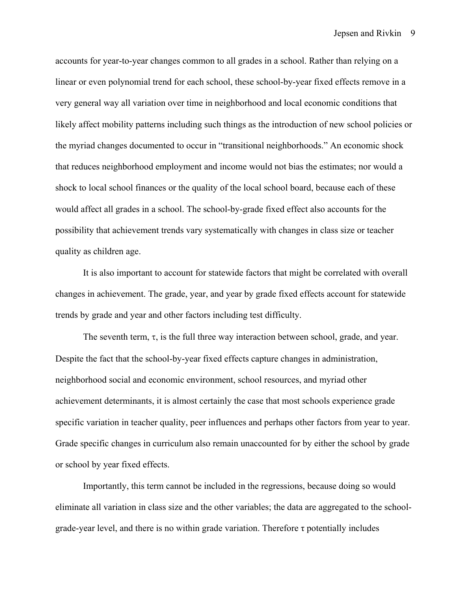accounts for year-to-year changes common to all grades in a school. Rather than relying on a linear or even polynomial trend for each school, these school-by-year fixed effects remove in a very general way all variation over time in neighborhood and local economic conditions that likely affect mobility patterns including such things as the introduction of new school policies or the myriad changes documented to occur in "transitional neighborhoods." An economic shock that reduces neighborhood employment and income would not bias the estimates; nor would a shock to local school finances or the quality of the local school board, because each of these would affect all grades in a school. The school-by-grade fixed effect also accounts for the possibility that achievement trends vary systematically with changes in class size or teacher quality as children age.

It is also important to account for statewide factors that might be correlated with overall changes in achievement. The grade, year, and year by grade fixed effects account for statewide trends by grade and year and other factors including test difficulty.

The seventh term,  $\tau$ , is the full three way interaction between school, grade, and year. Despite the fact that the school-by-year fixed effects capture changes in administration, neighborhood social and economic environment, school resources, and myriad other achievement determinants, it is almost certainly the case that most schools experience grade specific variation in teacher quality, peer influences and perhaps other factors from year to year. Grade specific changes in curriculum also remain unaccounted for by either the school by grade or school by year fixed effects.

Importantly, this term cannot be included in the regressions, because doing so would eliminate all variation in class size and the other variables; the data are aggregated to the schoolgrade-year level, and there is no within grade variation. Therefore  $\tau$  potentially includes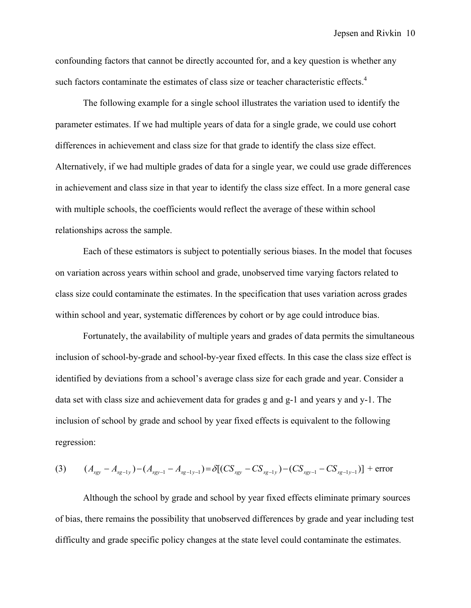confounding factors that cannot be directly accounted for, and a key question is whether any such factors contaminate the estimates of class size or teacher characteristic effects.<sup>4</sup>

The following example for a single school illustrates the variation used to identify the parameter estimates. If we had multiple years of data for a single grade, we could use cohort differences in achievement and class size for that grade to identify the class size effect. Alternatively, if we had multiple grades of data for a single year, we could use grade differences in achievement and class size in that year to identify the class size effect. In a more general case with multiple schools, the coefficients would reflect the average of these within school relationships across the sample.

Each of these estimators is subject to potentially serious biases. In the model that focuses on variation across years within school and grade, unobserved time varying factors related to class size could contaminate the estimates. In the specification that uses variation across grades within school and year, systematic differences by cohort or by age could introduce bias.

Fortunately, the availability of multiple years and grades of data permits the simultaneous inclusion of school-by-grade and school-by-year fixed effects. In this case the class size effect is identified by deviations from a school's average class size for each grade and year. Consider a data set with class size and achievement data for grades g and g-1 and years y and y-1. The inclusion of school by grade and school by year fixed effects is equivalent to the following regression:

$$
(3) \qquad (A_{sgy} - A_{sg-1y}) - (A_{sgy-1} - A_{sg-1y-1}) = \delta[(CS_{sgy} - CS_{sg-1y}) - (CS_{sgy-1} - CS_{sg-1y-1})] + error
$$

Although the school by grade and school by year fixed effects eliminate primary sources of bias, there remains the possibility that unobserved differences by grade and year including test difficulty and grade specific policy changes at the state level could contaminate the estimates.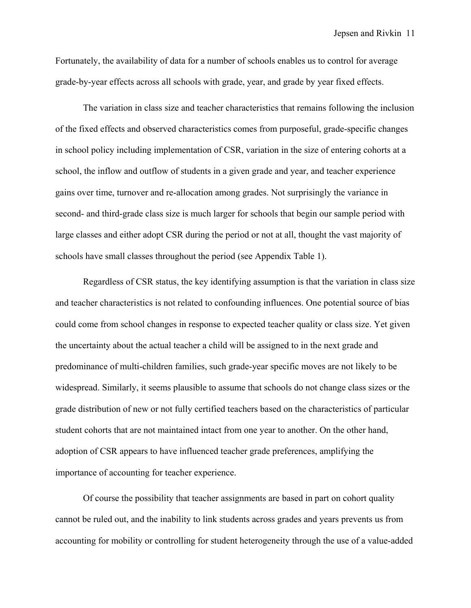Fortunately, the availability of data for a number of schools enables us to control for average grade-by-year effects across all schools with grade, year, and grade by year fixed effects.

The variation in class size and teacher characteristics that remains following the inclusion of the fixed effects and observed characteristics comes from purposeful, grade-specific changes in school policy including implementation of CSR, variation in the size of entering cohorts at a school, the inflow and outflow of students in a given grade and year, and teacher experience gains over time, turnover and re-allocation among grades. Not surprisingly the variance in second- and third-grade class size is much larger for schools that begin our sample period with large classes and either adopt CSR during the period or not at all, thought the vast majority of schools have small classes throughout the period (see Appendix Table 1).

Regardless of CSR status, the key identifying assumption is that the variation in class size and teacher characteristics is not related to confounding influences. One potential source of bias could come from school changes in response to expected teacher quality or class size. Yet given the uncertainty about the actual teacher a child will be assigned to in the next grade and predominance of multi-children families, such grade-year specific moves are not likely to be widespread. Similarly, it seems plausible to assume that schools do not change class sizes or the grade distribution of new or not fully certified teachers based on the characteristics of particular student cohorts that are not maintained intact from one year to another. On the other hand, adoption of CSR appears to have influenced teacher grade preferences, amplifying the importance of accounting for teacher experience.

Of course the possibility that teacher assignments are based in part on cohort quality cannot be ruled out, and the inability to link students across grades and years prevents us from accounting for mobility or controlling for student heterogeneity through the use of a value-added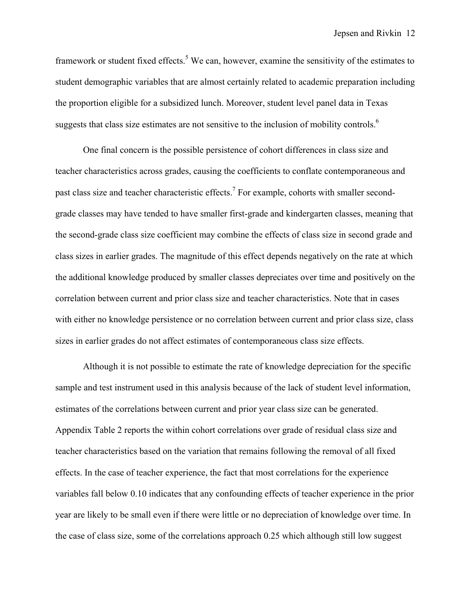framework or student fixed effects.<sup>5</sup> We can, however, examine the sensitivity of the estimates to student demographic variables that are almost certainly related to academic preparation including the proportion eligible for a subsidized lunch. Moreover, student level panel data in Texas suggests that class size estimates are not sensitive to the inclusion of mobility controls.<sup>6</sup>

One final concern is the possible persistence of cohort differences in class size and teacher characteristics across grades, causing the coefficients to conflate contemporaneous and past class size and teacher characteristic effects.<sup>7</sup> For example, cohorts with smaller secondgrade classes may have tended to have smaller first-grade and kindergarten classes, meaning that the second-grade class size coefficient may combine the effects of class size in second grade and class sizes in earlier grades. The magnitude of this effect depends negatively on the rate at which the additional knowledge produced by smaller classes depreciates over time and positively on the correlation between current and prior class size and teacher characteristics. Note that in cases with either no knowledge persistence or no correlation between current and prior class size, class sizes in earlier grades do not affect estimates of contemporaneous class size effects.

Although it is not possible to estimate the rate of knowledge depreciation for the specific sample and test instrument used in this analysis because of the lack of student level information, estimates of the correlations between current and prior year class size can be generated. Appendix Table 2 reports the within cohort correlations over grade of residual class size and teacher characteristics based on the variation that remains following the removal of all fixed effects. In the case of teacher experience, the fact that most correlations for the experience variables fall below 0.10 indicates that any confounding effects of teacher experience in the prior year are likely to be small even if there were little or no depreciation of knowledge over time. In the case of class size, some of the correlations approach 0.25 which although still low suggest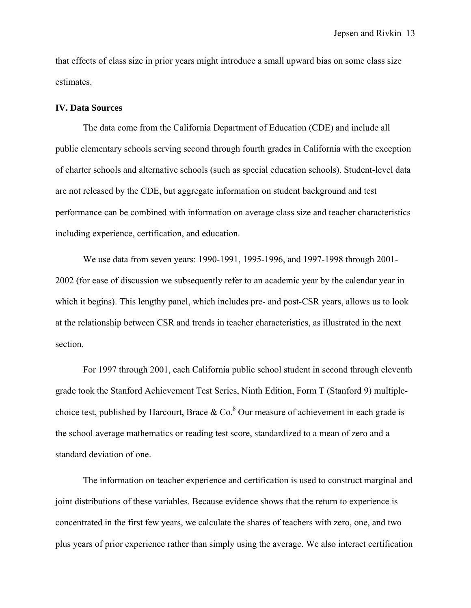that effects of class size in prior years might introduce a small upward bias on some class size estimates.

#### **IV. Data Sources**

The data come from the California Department of Education (CDE) and include all public elementary schools serving second through fourth grades in California with the exception of charter schools and alternative schools (such as special education schools). Student-level data are not released by the CDE, but aggregate information on student background and test performance can be combined with information on average class size and teacher characteristics including experience, certification, and education.

We use data from seven years: 1990-1991, 1995-1996, and 1997-1998 through 2001- 2002 (for ease of discussion we subsequently refer to an academic year by the calendar year in which it begins). This lengthy panel, which includes pre- and post-CSR years, allows us to look at the relationship between CSR and trends in teacher characteristics, as illustrated in the next section.

For 1997 through 2001, each California public school student in second through eleventh grade took the Stanford Achievement Test Series, Ninth Edition, Form T (Stanford 9) multiplechoice test, published by Harcourt, Brace & Co.<sup>8</sup> Our measure of achievement in each grade is the school average mathematics or reading test score, standardized to a mean of zero and a standard deviation of one.

The information on teacher experience and certification is used to construct marginal and joint distributions of these variables. Because evidence shows that the return to experience is concentrated in the first few years, we calculate the shares of teachers with zero, one, and two plus years of prior experience rather than simply using the average. We also interact certification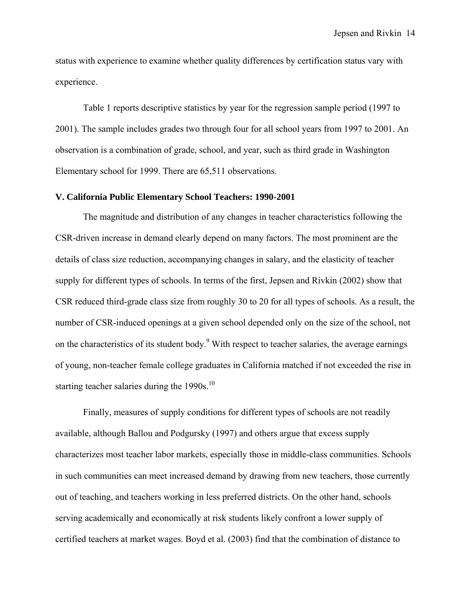status with experience to examine whether quality differences by certification status vary with experience.

Table 1 reports descriptive statistics by year for the regression sample period (1997 to 2001). The sample includes grades two through four for all school years from 1997 to 2001. An observation is a combination of grade, school, and year, such as third grade in Washington Elementary school for 1999. There are 65,511 observations.

#### **V. California Public Elementary School Teachers: 1990-2001**

The magnitude and distribution of any changes in teacher characteristics following the CSR-driven increase in demand clearly depend on many factors. The most prominent are the details of class size reduction, accompanying changes in salary, and the elasticity of teacher supply for different types of schools. In terms of the first, Jepsen and Rivkin (2002) show that CSR reduced third-grade class size from roughly 30 to 20 for all types of schools. As a result, the number of CSR-induced openings at a given school depended only on the size of the school, not on the characteristics of its student body.<sup>9</sup> With respect to teacher salaries, the average earnings of young, non-teacher female college graduates in California matched if not exceeded the rise in starting teacher salaries during the  $1990s$ .<sup>10</sup>

Finally, measures of supply conditions for different types of schools are not readily available, although Ballou and Podgursky (1997) and others argue that excess supply characterizes most teacher labor markets, especially those in middle-class communities. Schools in such communities can meet increased demand by drawing from new teachers, those currently out of teaching, and teachers working in less preferred districts. On the other hand, schools serving academically and economically at risk students likely confront a lower supply of certified teachers at market wages. Boyd et al. (2003) find that the combination of distance to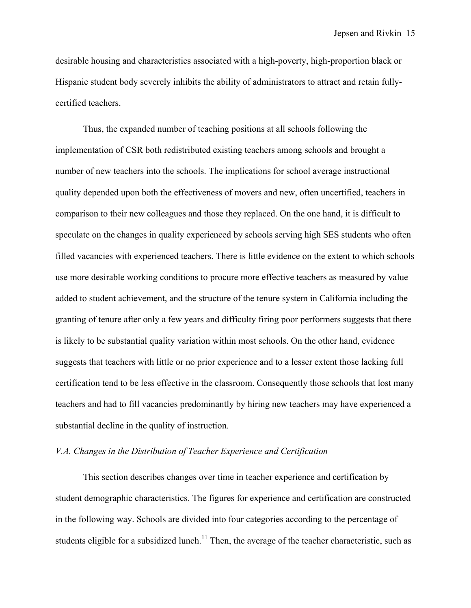desirable housing and characteristics associated with a high-poverty, high-proportion black or Hispanic student body severely inhibits the ability of administrators to attract and retain fullycertified teachers.

Thus, the expanded number of teaching positions at all schools following the implementation of CSR both redistributed existing teachers among schools and brought a number of new teachers into the schools. The implications for school average instructional quality depended upon both the effectiveness of movers and new, often uncertified, teachers in comparison to their new colleagues and those they replaced. On the one hand, it is difficult to speculate on the changes in quality experienced by schools serving high SES students who often filled vacancies with experienced teachers. There is little evidence on the extent to which schools use more desirable working conditions to procure more effective teachers as measured by value added to student achievement, and the structure of the tenure system in California including the granting of tenure after only a few years and difficulty firing poor performers suggests that there is likely to be substantial quality variation within most schools. On the other hand, evidence suggests that teachers with little or no prior experience and to a lesser extent those lacking full certification tend to be less effective in the classroom. Consequently those schools that lost many teachers and had to fill vacancies predominantly by hiring new teachers may have experienced a substantial decline in the quality of instruction.

### *V.A. Changes in the Distribution of Teacher Experience and Certification*

This section describes changes over time in teacher experience and certification by student demographic characteristics. The figures for experience and certification are constructed in the following way. Schools are divided into four categories according to the percentage of students eligible for a subsidized lunch.<sup>11</sup> Then, the average of the teacher characteristic, such as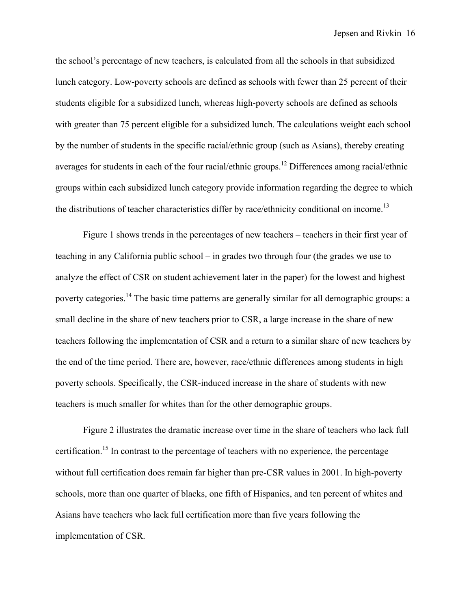the school's percentage of new teachers, is calculated from all the schools in that subsidized lunch category. Low-poverty schools are defined as schools with fewer than 25 percent of their students eligible for a subsidized lunch, whereas high-poverty schools are defined as schools with greater than 75 percent eligible for a subsidized lunch. The calculations weight each school by the number of students in the specific racial/ethnic group (such as Asians), thereby creating averages for students in each of the four racial/ethnic groups.12 Differences among racial/ethnic groups within each subsidized lunch category provide information regarding the degree to which the distributions of teacher characteristics differ by race/ethnicity conditional on income.<sup>13</sup>

Figure 1 shows trends in the percentages of new teachers – teachers in their first year of teaching in any California public school – in grades two through four (the grades we use to analyze the effect of CSR on student achievement later in the paper) for the lowest and highest poverty categories.14 The basic time patterns are generally similar for all demographic groups: a small decline in the share of new teachers prior to CSR, a large increase in the share of new teachers following the implementation of CSR and a return to a similar share of new teachers by the end of the time period. There are, however, race/ethnic differences among students in high poverty schools. Specifically, the CSR-induced increase in the share of students with new teachers is much smaller for whites than for the other demographic groups.

Figure 2 illustrates the dramatic increase over time in the share of teachers who lack full certification.<sup>15</sup> In contrast to the percentage of teachers with no experience, the percentage without full certification does remain far higher than pre-CSR values in 2001. In high-poverty schools, more than one quarter of blacks, one fifth of Hispanics, and ten percent of whites and Asians have teachers who lack full certification more than five years following the implementation of CSR.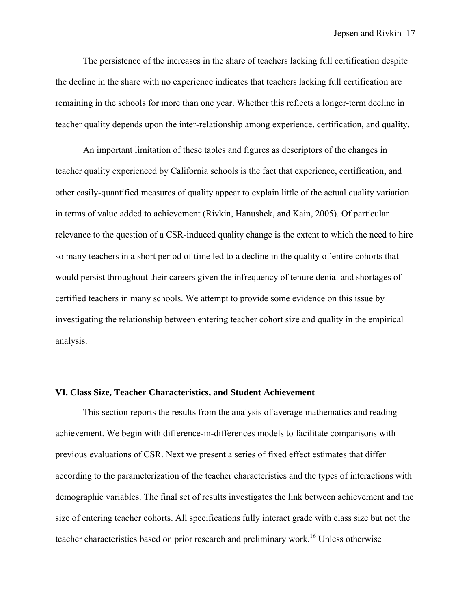The persistence of the increases in the share of teachers lacking full certification despite the decline in the share with no experience indicates that teachers lacking full certification are remaining in the schools for more than one year. Whether this reflects a longer-term decline in teacher quality depends upon the inter-relationship among experience, certification, and quality.

An important limitation of these tables and figures as descriptors of the changes in teacher quality experienced by California schools is the fact that experience, certification, and other easily-quantified measures of quality appear to explain little of the actual quality variation in terms of value added to achievement (Rivkin, Hanushek, and Kain, 2005). Of particular relevance to the question of a CSR-induced quality change is the extent to which the need to hire so many teachers in a short period of time led to a decline in the quality of entire cohorts that would persist throughout their careers given the infrequency of tenure denial and shortages of certified teachers in many schools. We attempt to provide some evidence on this issue by investigating the relationship between entering teacher cohort size and quality in the empirical analysis.

#### **VI. Class Size, Teacher Characteristics, and Student Achievement**

This section reports the results from the analysis of average mathematics and reading achievement. We begin with difference-in-differences models to facilitate comparisons with previous evaluations of CSR. Next we present a series of fixed effect estimates that differ according to the parameterization of the teacher characteristics and the types of interactions with demographic variables. The final set of results investigates the link between achievement and the size of entering teacher cohorts. All specifications fully interact grade with class size but not the teacher characteristics based on prior research and preliminary work.<sup>16</sup> Unless otherwise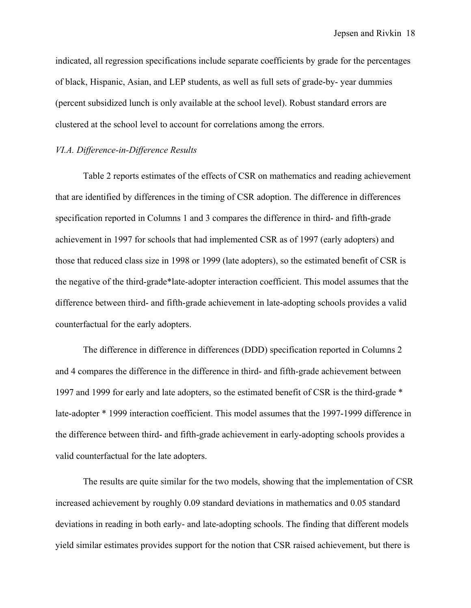indicated, all regression specifications include separate coefficients by grade for the percentages of black, Hispanic, Asian, and LEP students, as well as full sets of grade-by- year dummies (percent subsidized lunch is only available at the school level). Robust standard errors are clustered at the school level to account for correlations among the errors.

# *VI.A. Difference-in-Difference Results*

Table 2 reports estimates of the effects of CSR on mathematics and reading achievement that are identified by differences in the timing of CSR adoption. The difference in differences specification reported in Columns 1 and 3 compares the difference in third- and fifth-grade achievement in 1997 for schools that had implemented CSR as of 1997 (early adopters) and those that reduced class size in 1998 or 1999 (late adopters), so the estimated benefit of CSR is the negative of the third-grade\*late-adopter interaction coefficient. This model assumes that the difference between third- and fifth-grade achievement in late-adopting schools provides a valid counterfactual for the early adopters.

The difference in difference in differences (DDD) specification reported in Columns 2 and 4 compares the difference in the difference in third- and fifth-grade achievement between 1997 and 1999 for early and late adopters, so the estimated benefit of CSR is the third-grade \* late-adopter \* 1999 interaction coefficient. This model assumes that the 1997-1999 difference in the difference between third- and fifth-grade achievement in early-adopting schools provides a valid counterfactual for the late adopters.

The results are quite similar for the two models, showing that the implementation of CSR increased achievement by roughly 0.09 standard deviations in mathematics and 0.05 standard deviations in reading in both early- and late-adopting schools. The finding that different models yield similar estimates provides support for the notion that CSR raised achievement, but there is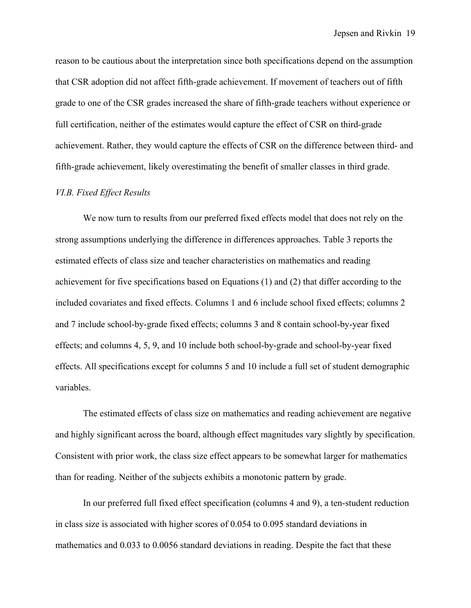reason to be cautious about the interpretation since both specifications depend on the assumption that CSR adoption did not affect fifth-grade achievement. If movement of teachers out of fifth grade to one of the CSR grades increased the share of fifth-grade teachers without experience or full certification, neither of the estimates would capture the effect of CSR on third-grade achievement. Rather, they would capture the effects of CSR on the difference between third- and fifth-grade achievement, likely overestimating the benefit of smaller classes in third grade.

#### *VI.B. Fixed Effect Results*

We now turn to results from our preferred fixed effects model that does not rely on the strong assumptions underlying the difference in differences approaches. Table 3 reports the estimated effects of class size and teacher characteristics on mathematics and reading achievement for five specifications based on Equations (1) and (2) that differ according to the included covariates and fixed effects. Columns 1 and 6 include school fixed effects; columns 2 and 7 include school-by-grade fixed effects; columns 3 and 8 contain school-by-year fixed effects; and columns 4, 5, 9, and 10 include both school-by-grade and school-by-year fixed effects. All specifications except for columns 5 and 10 include a full set of student demographic variables.

The estimated effects of class size on mathematics and reading achievement are negative and highly significant across the board, although effect magnitudes vary slightly by specification. Consistent with prior work, the class size effect appears to be somewhat larger for mathematics than for reading. Neither of the subjects exhibits a monotonic pattern by grade.

In our preferred full fixed effect specification (columns 4 and 9), a ten-student reduction in class size is associated with higher scores of 0.054 to 0.095 standard deviations in mathematics and 0.033 to 0.0056 standard deviations in reading. Despite the fact that these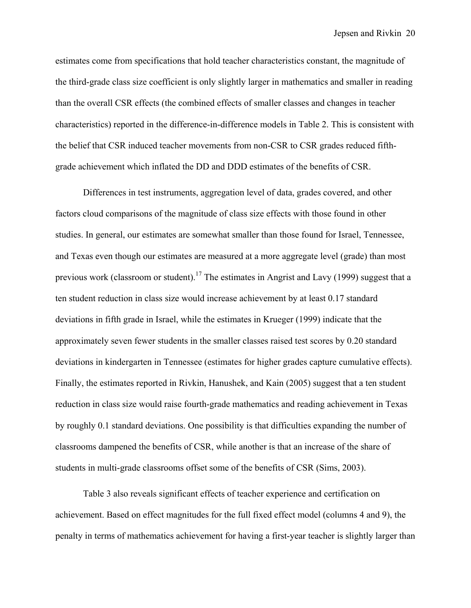estimates come from specifications that hold teacher characteristics constant, the magnitude of the third-grade class size coefficient is only slightly larger in mathematics and smaller in reading than the overall CSR effects (the combined effects of smaller classes and changes in teacher characteristics) reported in the difference-in-difference models in Table 2. This is consistent with the belief that CSR induced teacher movements from non-CSR to CSR grades reduced fifthgrade achievement which inflated the DD and DDD estimates of the benefits of CSR.

Differences in test instruments, aggregation level of data, grades covered, and other factors cloud comparisons of the magnitude of class size effects with those found in other studies. In general, our estimates are somewhat smaller than those found for Israel, Tennessee, and Texas even though our estimates are measured at a more aggregate level (grade) than most previous work (classroom or student).<sup>17</sup> The estimates in Angrist and Lavy (1999) suggest that a ten student reduction in class size would increase achievement by at least 0.17 standard deviations in fifth grade in Israel, while the estimates in Krueger (1999) indicate that the approximately seven fewer students in the smaller classes raised test scores by 0.20 standard deviations in kindergarten in Tennessee (estimates for higher grades capture cumulative effects). Finally, the estimates reported in Rivkin, Hanushek, and Kain (2005) suggest that a ten student reduction in class size would raise fourth-grade mathematics and reading achievement in Texas by roughly 0.1 standard deviations. One possibility is that difficulties expanding the number of classrooms dampened the benefits of CSR, while another is that an increase of the share of students in multi-grade classrooms offset some of the benefits of CSR (Sims, 2003).

Table 3 also reveals significant effects of teacher experience and certification on achievement. Based on effect magnitudes for the full fixed effect model (columns 4 and 9), the penalty in terms of mathematics achievement for having a first-year teacher is slightly larger than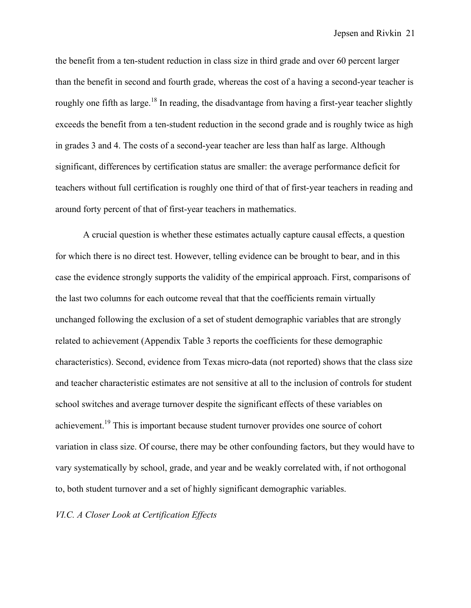the benefit from a ten-student reduction in class size in third grade and over 60 percent larger than the benefit in second and fourth grade, whereas the cost of a having a second-year teacher is roughly one fifth as large.<sup>18</sup> In reading, the disadvantage from having a first-year teacher slightly exceeds the benefit from a ten-student reduction in the second grade and is roughly twice as high in grades 3 and 4. The costs of a second-year teacher are less than half as large. Although significant, differences by certification status are smaller: the average performance deficit for teachers without full certification is roughly one third of that of first-year teachers in reading and around forty percent of that of first-year teachers in mathematics.

A crucial question is whether these estimates actually capture causal effects, a question for which there is no direct test. However, telling evidence can be brought to bear, and in this case the evidence strongly supports the validity of the empirical approach. First, comparisons of the last two columns for each outcome reveal that that the coefficients remain virtually unchanged following the exclusion of a set of student demographic variables that are strongly related to achievement (Appendix Table 3 reports the coefficients for these demographic characteristics). Second, evidence from Texas micro-data (not reported) shows that the class size and teacher characteristic estimates are not sensitive at all to the inclusion of controls for student school switches and average turnover despite the significant effects of these variables on achievement.19 This is important because student turnover provides one source of cohort variation in class size. Of course, there may be other confounding factors, but they would have to vary systematically by school, grade, and year and be weakly correlated with, if not orthogonal to, both student turnover and a set of highly significant demographic variables.

*VI.C. A Closer Look at Certification Effects*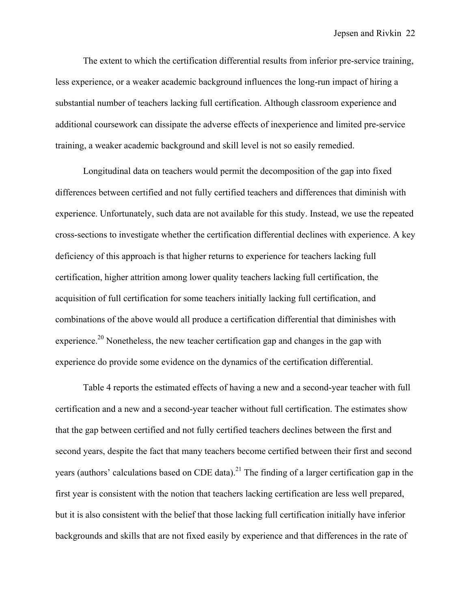The extent to which the certification differential results from inferior pre-service training, less experience, or a weaker academic background influences the long-run impact of hiring a substantial number of teachers lacking full certification. Although classroom experience and additional coursework can dissipate the adverse effects of inexperience and limited pre-service training, a weaker academic background and skill level is not so easily remedied.

Longitudinal data on teachers would permit the decomposition of the gap into fixed differences between certified and not fully certified teachers and differences that diminish with experience. Unfortunately, such data are not available for this study. Instead, we use the repeated cross-sections to investigate whether the certification differential declines with experience. A key deficiency of this approach is that higher returns to experience for teachers lacking full certification, higher attrition among lower quality teachers lacking full certification, the acquisition of full certification for some teachers initially lacking full certification, and combinations of the above would all produce a certification differential that diminishes with experience.<sup>20</sup> Nonetheless, the new teacher certification gap and changes in the gap with experience do provide some evidence on the dynamics of the certification differential.

Table 4 reports the estimated effects of having a new and a second-year teacher with full certification and a new and a second-year teacher without full certification. The estimates show that the gap between certified and not fully certified teachers declines between the first and second years, despite the fact that many teachers become certified between their first and second years (authors' calculations based on CDE data).<sup>21</sup> The finding of a larger certification gap in the first year is consistent with the notion that teachers lacking certification are less well prepared, but it is also consistent with the belief that those lacking full certification initially have inferior backgrounds and skills that are not fixed easily by experience and that differences in the rate of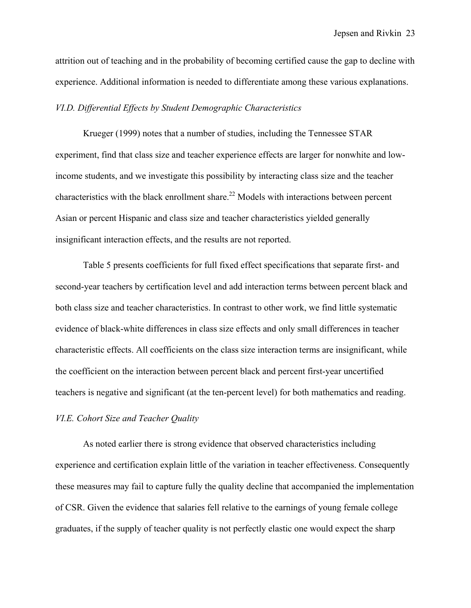attrition out of teaching and in the probability of becoming certified cause the gap to decline with experience. Additional information is needed to differentiate among these various explanations.

#### *VI.D. Differential Effects by Student Demographic Characteristics*

Krueger (1999) notes that a number of studies, including the Tennessee STAR experiment, find that class size and teacher experience effects are larger for nonwhite and lowincome students, and we investigate this possibility by interacting class size and the teacher characteristics with the black enrollment share.<sup>22</sup> Models with interactions between percent Asian or percent Hispanic and class size and teacher characteristics yielded generally insignificant interaction effects, and the results are not reported.

Table 5 presents coefficients for full fixed effect specifications that separate first- and second-year teachers by certification level and add interaction terms between percent black and both class size and teacher characteristics. In contrast to other work, we find little systematic evidence of black-white differences in class size effects and only small differences in teacher characteristic effects. All coefficients on the class size interaction terms are insignificant, while the coefficient on the interaction between percent black and percent first-year uncertified teachers is negative and significant (at the ten-percent level) for both mathematics and reading.

#### *VI.E. Cohort Size and Teacher Quality*

As noted earlier there is strong evidence that observed characteristics including experience and certification explain little of the variation in teacher effectiveness. Consequently these measures may fail to capture fully the quality decline that accompanied the implementation of CSR. Given the evidence that salaries fell relative to the earnings of young female college graduates, if the supply of teacher quality is not perfectly elastic one would expect the sharp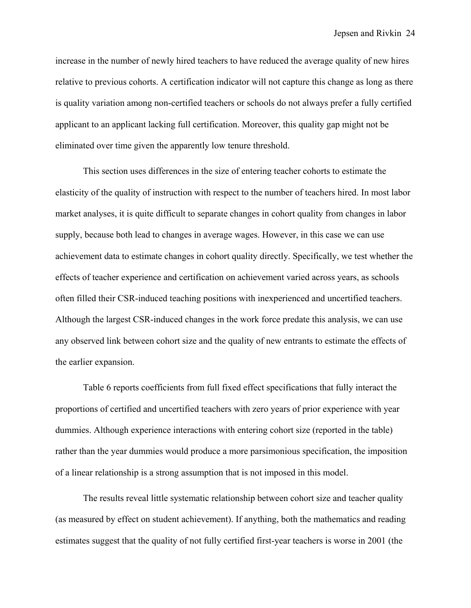increase in the number of newly hired teachers to have reduced the average quality of new hires relative to previous cohorts. A certification indicator will not capture this change as long as there is quality variation among non-certified teachers or schools do not always prefer a fully certified applicant to an applicant lacking full certification. Moreover, this quality gap might not be eliminated over time given the apparently low tenure threshold.

This section uses differences in the size of entering teacher cohorts to estimate the elasticity of the quality of instruction with respect to the number of teachers hired. In most labor market analyses, it is quite difficult to separate changes in cohort quality from changes in labor supply, because both lead to changes in average wages. However, in this case we can use achievement data to estimate changes in cohort quality directly. Specifically, we test whether the effects of teacher experience and certification on achievement varied across years, as schools often filled their CSR-induced teaching positions with inexperienced and uncertified teachers. Although the largest CSR-induced changes in the work force predate this analysis, we can use any observed link between cohort size and the quality of new entrants to estimate the effects of the earlier expansion.

Table 6 reports coefficients from full fixed effect specifications that fully interact the proportions of certified and uncertified teachers with zero years of prior experience with year dummies. Although experience interactions with entering cohort size (reported in the table) rather than the year dummies would produce a more parsimonious specification, the imposition of a linear relationship is a strong assumption that is not imposed in this model.

The results reveal little systematic relationship between cohort size and teacher quality (as measured by effect on student achievement). If anything, both the mathematics and reading estimates suggest that the quality of not fully certified first-year teachers is worse in 2001 (the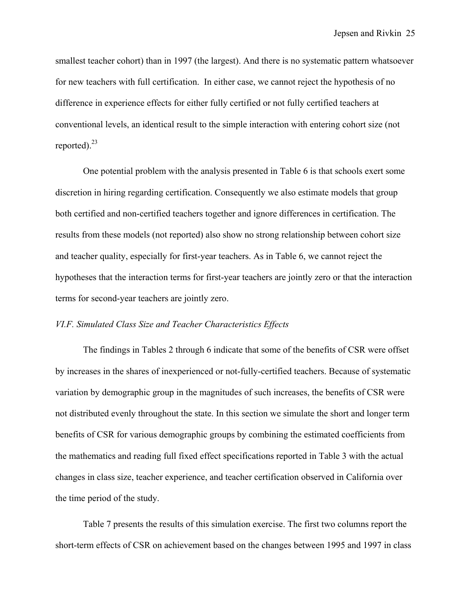smallest teacher cohort) than in 1997 (the largest). And there is no systematic pattern whatsoever for new teachers with full certification. In either case, we cannot reject the hypothesis of no difference in experience effects for either fully certified or not fully certified teachers at conventional levels, an identical result to the simple interaction with entering cohort size (not reported). $^{23}$ 

One potential problem with the analysis presented in Table 6 is that schools exert some discretion in hiring regarding certification. Consequently we also estimate models that group both certified and non-certified teachers together and ignore differences in certification. The results from these models (not reported) also show no strong relationship between cohort size and teacher quality, especially for first-year teachers. As in Table 6, we cannot reject the hypotheses that the interaction terms for first-year teachers are jointly zero or that the interaction terms for second-year teachers are jointly zero.

# *VI.F. Simulated Class Size and Teacher Characteristics Effects*

The findings in Tables 2 through 6 indicate that some of the benefits of CSR were offset by increases in the shares of inexperienced or not-fully-certified teachers. Because of systematic variation by demographic group in the magnitudes of such increases, the benefits of CSR were not distributed evenly throughout the state. In this section we simulate the short and longer term benefits of CSR for various demographic groups by combining the estimated coefficients from the mathematics and reading full fixed effect specifications reported in Table 3 with the actual changes in class size, teacher experience, and teacher certification observed in California over the time period of the study.

Table 7 presents the results of this simulation exercise. The first two columns report the short-term effects of CSR on achievement based on the changes between 1995 and 1997 in class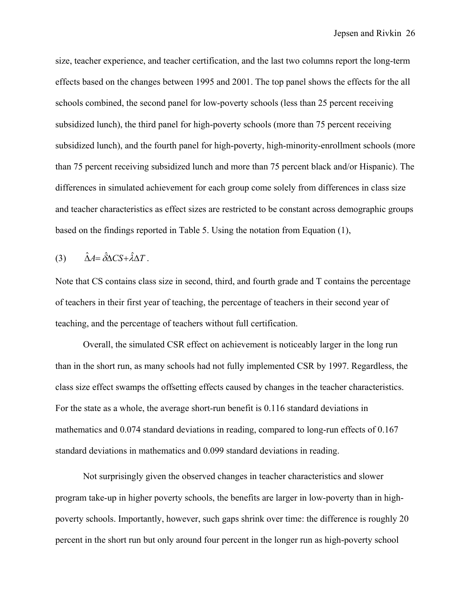size, teacher experience, and teacher certification, and the last two columns report the long-term effects based on the changes between 1995 and 2001. The top panel shows the effects for the all schools combined, the second panel for low-poverty schools (less than 25 percent receiving subsidized lunch), the third panel for high-poverty schools (more than 75 percent receiving subsidized lunch), and the fourth panel for high-poverty, high-minority-enrollment schools (more than 75 percent receiving subsidized lunch and more than 75 percent black and/or Hispanic). The differences in simulated achievement for each group come solely from differences in class size and teacher characteristics as effect sizes are restricted to be constant across demographic groups based on the findings reported in Table 5. Using the notation from Equation (1),

# (3)  $\hat{\Delta}A = \hat{\delta}\Delta CS + \hat{\lambda}\Delta T$ .

Note that CS contains class size in second, third, and fourth grade and T contains the percentage of teachers in their first year of teaching, the percentage of teachers in their second year of teaching, and the percentage of teachers without full certification.

Overall, the simulated CSR effect on achievement is noticeably larger in the long run than in the short run, as many schools had not fully implemented CSR by 1997. Regardless, the class size effect swamps the offsetting effects caused by changes in the teacher characteristics. For the state as a whole, the average short-run benefit is 0.116 standard deviations in mathematics and 0.074 standard deviations in reading, compared to long-run effects of 0.167 standard deviations in mathematics and 0.099 standard deviations in reading.

Not surprisingly given the observed changes in teacher characteristics and slower program take-up in higher poverty schools, the benefits are larger in low-poverty than in highpoverty schools. Importantly, however, such gaps shrink over time: the difference is roughly 20 percent in the short run but only around four percent in the longer run as high-poverty school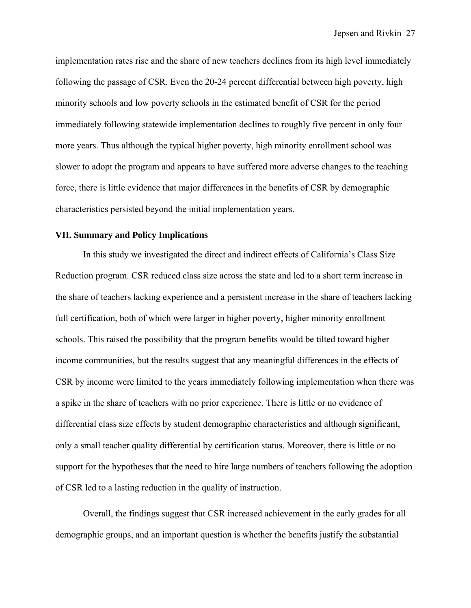implementation rates rise and the share of new teachers declines from its high level immediately following the passage of CSR. Even the 20-24 percent differential between high poverty, high minority schools and low poverty schools in the estimated benefit of CSR for the period immediately following statewide implementation declines to roughly five percent in only four more years. Thus although the typical higher poverty, high minority enrollment school was slower to adopt the program and appears to have suffered more adverse changes to the teaching force, there is little evidence that major differences in the benefits of CSR by demographic characteristics persisted beyond the initial implementation years.

#### **VII. Summary and Policy Implications**

In this study we investigated the direct and indirect effects of California's Class Size Reduction program. CSR reduced class size across the state and led to a short term increase in the share of teachers lacking experience and a persistent increase in the share of teachers lacking full certification, both of which were larger in higher poverty, higher minority enrollment schools. This raised the possibility that the program benefits would be tilted toward higher income communities, but the results suggest that any meaningful differences in the effects of CSR by income were limited to the years immediately following implementation when there was a spike in the share of teachers with no prior experience. There is little or no evidence of differential class size effects by student demographic characteristics and although significant, only a small teacher quality differential by certification status. Moreover, there is little or no support for the hypotheses that the need to hire large numbers of teachers following the adoption of CSR led to a lasting reduction in the quality of instruction.

Overall, the findings suggest that CSR increased achievement in the early grades for all demographic groups, and an important question is whether the benefits justify the substantial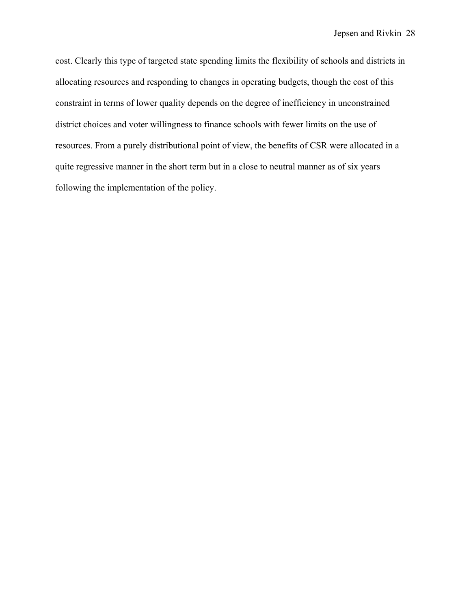cost. Clearly this type of targeted state spending limits the flexibility of schools and districts in allocating resources and responding to changes in operating budgets, though the cost of this constraint in terms of lower quality depends on the degree of inefficiency in unconstrained district choices and voter willingness to finance schools with fewer limits on the use of resources. From a purely distributional point of view, the benefits of CSR were allocated in a quite regressive manner in the short term but in a close to neutral manner as of six years following the implementation of the policy.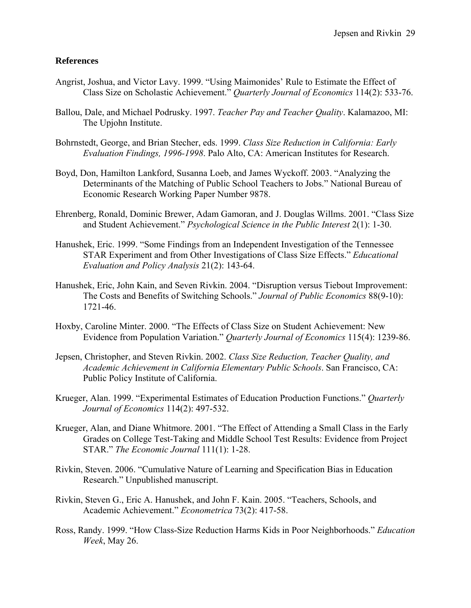#### **References**

- Angrist, Joshua, and Victor Lavy. 1999. "Using Maimonides' Rule to Estimate the Effect of Class Size on Scholastic Achievement." *Quarterly Journal of Economics* 114(2): 533-76.
- Ballou, Dale, and Michael Podrusky. 1997. *Teacher Pay and Teacher Quality*. Kalamazoo, MI: The Upjohn Institute.
- Bohrnstedt, George, and Brian Stecher, eds. 1999. *Class Size Reduction in California: Early Evaluation Findings, 1996-1998*. Palo Alto, CA: American Institutes for Research.
- Boyd, Don, Hamilton Lankford, Susanna Loeb, and James Wyckoff. 2003. "Analyzing the Determinants of the Matching of Public School Teachers to Jobs." National Bureau of Economic Research Working Paper Number 9878.
- Ehrenberg, Ronald, Dominic Brewer, Adam Gamoran, and J. Douglas Willms. 2001. "Class Size and Student Achievement." *Psychological Science in the Public Interest* 2(1): 1-30.
- Hanushek, Eric. 1999. "Some Findings from an Independent Investigation of the Tennessee STAR Experiment and from Other Investigations of Class Size Effects." *Educational Evaluation and Policy Analysis* 21(2): 143-64.
- Hanushek, Eric, John Kain, and Seven Rivkin. 2004. "Disruption versus Tiebout Improvement: The Costs and Benefits of Switching Schools." *Journal of Public Economics* 88(9-10): 1721-46.
- Hoxby, Caroline Minter. 2000. "The Effects of Class Size on Student Achievement: New Evidence from Population Variation." *Quarterly Journal of Economics* 115(4): 1239-86.
- Jepsen, Christopher, and Steven Rivkin. 2002. *Class Size Reduction, Teacher Quality, and Academic Achievement in California Elementary Public Schools*. San Francisco, CA: Public Policy Institute of California.
- Krueger, Alan. 1999. "Experimental Estimates of Education Production Functions." *Quarterly Journal of Economics* 114(2): 497-532.
- Krueger, Alan, and Diane Whitmore. 2001. "The Effect of Attending a Small Class in the Early Grades on College Test-Taking and Middle School Test Results: Evidence from Project STAR." *The Economic Journal* 111(1): 1-28.
- Rivkin, Steven. 2006. "Cumulative Nature of Learning and Specification Bias in Education Research." Unpublished manuscript.
- Rivkin, Steven G., Eric A. Hanushek, and John F. Kain. 2005. "Teachers, Schools, and Academic Achievement." *Econometrica* 73(2): 417-58.
- Ross, Randy. 1999. "How Class-Size Reduction Harms Kids in Poor Neighborhoods." *Education Week*, May 26.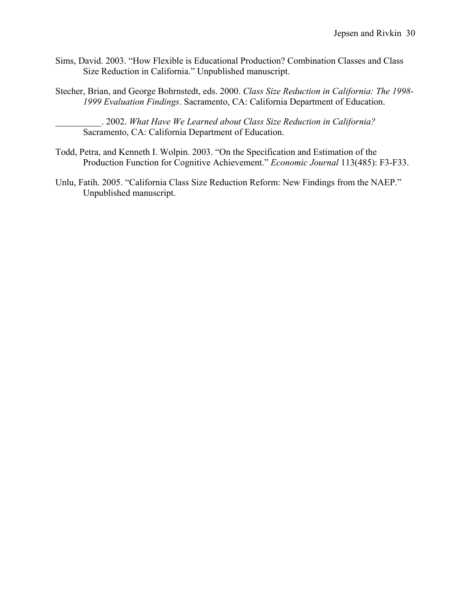- Sims, David. 2003. "How Flexible is Educational Production? Combination Classes and Class Size Reduction in California." Unpublished manuscript.
- Stecher, Brian, and George Bohrnstedt, eds. 2000. *Class Size Reduction in California: The 1998- 1999 Evaluation Findings*. Sacramento, CA: California Department of Education.

\_\_\_\_\_\_\_\_\_\_. 2002. *What Have We Learned about Class Size Reduction in California?* Sacramento, CA: California Department of Education.

- Todd, Petra, and Kenneth I. Wolpin. 2003. "On the Specification and Estimation of the Production Function for Cognitive Achievement." *Economic Journal* 113(485): F3-F33.
- Unlu, Fatih. 2005. "California Class Size Reduction Reform: New Findings from the NAEP." Unpublished manuscript.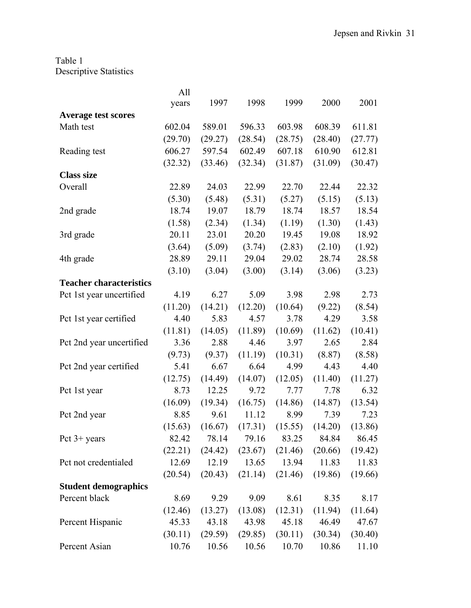Table 1 Descriptive Statistics

|                                | All     |                     |         |         |         |         |
|--------------------------------|---------|---------------------|---------|---------|---------|---------|
|                                | years   | 1997                | 1998    | 1999    | 2000    | 2001    |
| <b>Average test scores</b>     |         |                     |         |         |         |         |
| Math test                      | 602.04  | 589.01              | 596.33  | 603.98  | 608.39  | 611.81  |
|                                | (29.70) | (29.27)             | (28.54) | (28.75) | (28.40) | (27.77) |
| Reading test                   | 606.27  | 597.54              | 602.49  | 607.18  | 610.90  | 612.81  |
|                                | (32.32) | (33.46)             | (32.34) | (31.87) | (31.09) | (30.47) |
| <b>Class size</b>              |         |                     |         |         |         |         |
| Overall                        | 22.89   | 24.03               | 22.99   | 22.70   | 22.44   | 22.32   |
|                                | (5.30)  | (5.48)              | (5.31)  | (5.27)  | (5.15)  | (5.13)  |
| 2nd grade                      | 18.74   | 19.07               | 18.79   | 18.74   | 18.57   | 18.54   |
|                                | (1.58)  | (2.34)              | (1.34)  | (1.19)  | (1.30)  | (1.43)  |
| 3rd grade                      | 20.11   | 23.01               | 20.20   | 19.45   | 19.08   | 18.92   |
|                                | (3.64)  | (5.09)              | (3.74)  | (2.83)  | (2.10)  | (1.92)  |
| 4th grade                      | 28.89   | 29.11               | 29.04   | 29.02   | 28.74   | 28.58   |
|                                | (3.10)  | (3.04)              | (3.00)  | (3.14)  | (3.06)  | (3.23)  |
| <b>Teacher characteristics</b> |         |                     |         |         |         |         |
| Pct 1st year uncertified       | 4.19    | 6.27                | 5.09    | 3.98    | 2.98    | 2.73    |
|                                | (11.20) | (14.21)             | (12.20) | (10.64) | (9.22)  | (8.54)  |
| Pct 1st year certified         | 4.40    | 5.83                | 4.57    | 3.78    | 4.29    | 3.58    |
|                                | (11.81) | (14.05)             | (11.89) | (10.69) | (11.62) | (10.41) |
| Pct 2nd year uncertified       | 3.36    | 2.88                | 4.46    | 3.97    | 2.65    | 2.84    |
|                                | (9.73)  | (9.37)              | (11.19) | (10.31) | (8.87)  | (8.58)  |
| Pct 2nd year certified         | 5.41    | 6.67                | 6.64    | 4.99    | 4.43    | 4.40    |
|                                | (12.75) | (14.49)             | (14.07) | (12.05) | (11.40) | (11.27) |
| Pct 1st year                   | 8.73    | 12.25               | 9.72    | 7.77    | 7.78    | 6.32    |
|                                | (16.09) | (19.34)             | (16.75) | (14.86) | (14.87) | (13.54) |
| Pct 2nd year                   | 8.85    | 9.61                | 11.12   | 8.99    | 7.39    | 7.23    |
|                                | (15.63) | (16.67)             | (17.31) | (15.55) | (14.20) | (13.86) |
| Pct $3+$ years                 | 82.42   | 78.14               | 79.16   | 83.25   | 84.84   | 86.45   |
|                                |         | $(22.21)$ $(24.42)$ | (23.67) | (21.46) | (20.66) | (19.42) |
| Pct not credentialed           | 12.69   | 12.19 13.65 13.94   |         |         | 11.83   | 11.83   |
|                                | (20.54) | (20.43)             | (21.14) | (21.46) | (19.86) | (19.66) |
| <b>Student demographics</b>    |         |                     |         |         |         |         |
| Percent black                  | 8.69    | 9.29                | 9.09    | 8.61    | 8.35    | 8.17    |
|                                | (12.46) | (13.27)             | (13.08) | (12.31) | (11.94) | (11.64) |
| Percent Hispanic               | 45.33   | 43.18               | 43.98   | 45.18   | 46.49   | 47.67   |
|                                |         | $(30.11)$ $(29.59)$ | (29.85) | (30.11) | (30.34) | (30.40) |
| Percent Asian                  | 10.76   | 10.56               | 10.56   | 10.70   | 10.86   | 11.10   |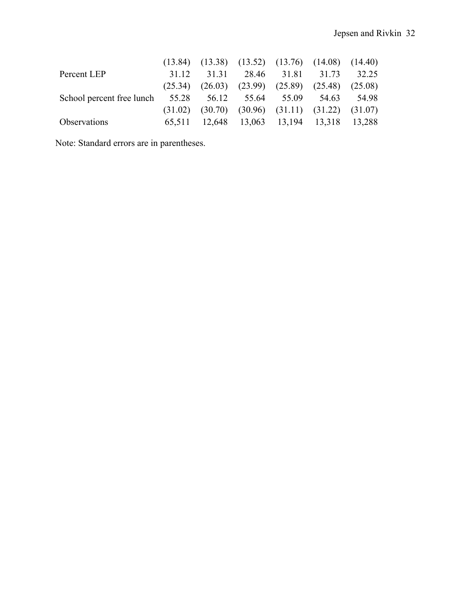|                                                               |       |       | $(13.84)$ $(13.38)$ $(13.52)$ $(13.76)$ $(14.08)$ $(14.40)$ |                   |       |
|---------------------------------------------------------------|-------|-------|-------------------------------------------------------------|-------------------|-------|
| Percent LEP                                                   | 31 12 | 31.31 |                                                             | 28.46 31.81 31.73 | 32.25 |
|                                                               |       |       | $(25.34)$ $(26.03)$ $(23.99)$ $(25.89)$ $(25.48)$ $(25.08)$ |                   |       |
| School percent free lunch 55.28 56.12 55.64 55.09 54.63 54.98 |       |       |                                                             |                   |       |
|                                                               |       |       | $(31.02)$ $(30.70)$ $(30.96)$ $(31.11)$ $(31.22)$ $(31.07)$ |                   |       |
| <b>Observations</b>                                           |       |       | 65,511 12,648 13,063 13,194 13,318 13,288                   |                   |       |

Note: Standard errors are in parentheses.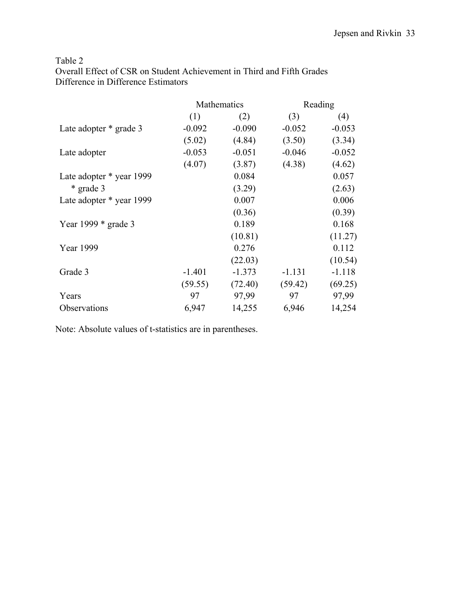# Table 2

Overall Effect of CSR on Student Achievement in Third and Fifth Grades Difference in Difference Estimators

|                            | <b>Mathematics</b> |          |          | Reading  |
|----------------------------|--------------------|----------|----------|----------|
|                            | (1)                | (2)      | (3)      | (4)      |
| Late adopter $*$ grade 3   | $-0.092$           | $-0.090$ | $-0.052$ | $-0.053$ |
|                            | (5.02)             | (4.84)   | (3.50)   | (3.34)   |
| Late adopter               | $-0.053$           | $-0.051$ | $-0.046$ | $-0.052$ |
|                            | (4.07)             | (3.87)   | (4.38)   | (4.62)   |
| Late adopter * year 1999   |                    | 0.084    |          | 0.057    |
| * grade 3                  |                    | (3.29)   |          | (2.63)   |
| Late adopter $*$ year 1999 |                    | 0.007    |          | 0.006    |
|                            |                    | (0.36)   |          | (0.39)   |
| Year 1999 $*$ grade 3      |                    | 0.189    |          | 0.168    |
|                            |                    | (10.81)  |          | (11.27)  |
| Year 1999                  |                    | 0.276    |          | 0.112    |
|                            |                    | (22.03)  |          | (10.54)  |
| Grade 3                    | $-1.401$           | $-1.373$ | $-1.131$ | $-1.118$ |
|                            | (59.55)            | (72.40)  | (59.42)  | (69.25)  |
| Years                      | 97                 | 97,99    | 97       | 97,99    |
| Observations               | 6,947              | 14,255   | 6,946    | 14,254   |

Note: Absolute values of t-statistics are in parentheses.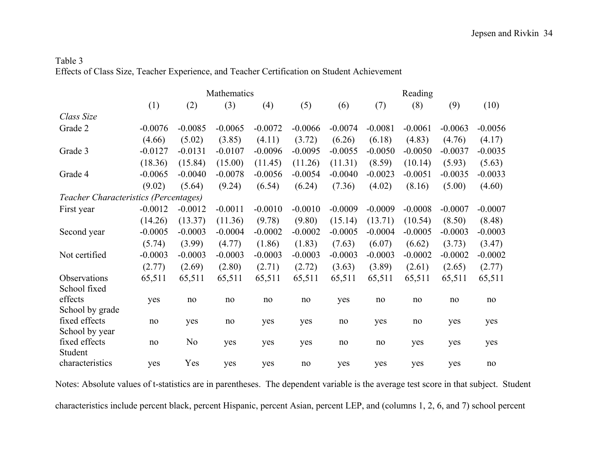# Table 3 Effects of Class Size, Teacher Experience, and Teacher Certification on Student Achievement

|                                       | Mathematics |                |           |           | Reading   |           |           |           |           |           |
|---------------------------------------|-------------|----------------|-----------|-----------|-----------|-----------|-----------|-----------|-----------|-----------|
|                                       | (1)         | (2)            | (3)       | (4)       | (5)       | (6)       | (7)       | (8)       | (9)       | (10)      |
| Class Size                            |             |                |           |           |           |           |           |           |           |           |
| Grade 2                               | $-0.0076$   | $-0.0085$      | $-0.0065$ | $-0.0072$ | $-0.0066$ | $-0.0074$ | $-0.0081$ | $-0.0061$ | $-0.0063$ | $-0.0056$ |
|                                       | (4.66)      | (5.02)         | (3.85)    | (4.11)    | (3.72)    | (6.26)    | (6.18)    | (4.83)    | (4.76)    | (4.17)    |
| Grade 3                               | $-0.0127$   | $-0.0131$      | $-0.0107$ | $-0.0096$ | $-0.0095$ | $-0.0055$ | $-0.0050$ | $-0.0050$ | $-0.0037$ | $-0.0035$ |
|                                       | (18.36)     | (15.84)        | (15.00)   | (11.45)   | (11.26)   | (11.31)   | (8.59)    | (10.14)   | (5.93)    | (5.63)    |
| Grade 4                               | $-0.0065$   | $-0.0040$      | $-0.0078$ | $-0.0056$ | $-0.0054$ | $-0.0040$ | $-0.0023$ | $-0.0051$ | $-0.0035$ | $-0.0033$ |
|                                       | (9.02)      | (5.64)         | (9.24)    | (6.54)    | (6.24)    | (7.36)    | (4.02)    | (8.16)    | (5.00)    | (4.60)    |
| Teacher Characteristics (Percentages) |             |                |           |           |           |           |           |           |           |           |
| First year                            | $-0.0012$   | $-0.0012$      | $-0.0011$ | $-0.0010$ | $-0.0010$ | $-0.0009$ | $-0.0009$ | $-0.0008$ | $-0.0007$ | $-0.0007$ |
|                                       | (14.26)     | (13.37)        | (11.36)   | (9.78)    | (9.80)    | (15.14)   | (13.71)   | (10.54)   | (8.50)    | (8.48)    |
| Second year                           | $-0.0005$   | $-0.0003$      | $-0.0004$ | $-0.0002$ | $-0.0002$ | $-0.0005$ | $-0.0004$ | $-0.0005$ | $-0.0003$ | $-0.0003$ |
|                                       | (5.74)      | (3.99)         | (4.77)    | (1.86)    | (1.83)    | (7.63)    | (6.07)    | (6.62)    | (3.73)    | (3.47)    |
| Not certified                         | $-0.0003$   | $-0.0003$      | $-0.0003$ | $-0.0003$ | $-0.0003$ | $-0.0003$ | $-0.0003$ | $-0.0002$ | $-0.0002$ | $-0.0002$ |
|                                       | (2.77)      | (2.69)         | (2.80)    | (2.71)    | (2.72)    | (3.63)    | (3.89)    | (2.61)    | (2.65)    | (2.77)    |
| Observations                          | 65,511      | 65,511         | 65,511    | 65,511    | 65,511    | 65,511    | 65,511    | 65,511    | 65,511    | 65,511    |
| School fixed                          |             |                |           |           |           |           |           |           |           |           |
| effects                               | yes         | no             | no        | no        | no        | yes       | no        | no        | no        | no        |
| School by grade                       |             |                |           |           |           |           |           |           |           |           |
| fixed effects                         | no          | yes            | no        | yes       | yes       | no        | yes       | no        | yes       | yes       |
| School by year                        |             |                |           |           |           |           |           |           |           |           |
| fixed effects                         | $\rm no$    | N <sub>0</sub> | yes       | yes       | yes       | no        | no        | yes       | yes       | yes       |
| Student                               |             |                |           |           |           |           |           |           |           |           |
| characteristics                       | yes         | Yes            | yes       | yes       | no        | yes       | yes       | yes       | yes       | no        |

Notes: Absolute values of t-statistics are in parentheses. The dependent variable is the average test score in that subject. Student characteristics include percent black, percent Hispanic, percent Asian, percent LEP, and (columns 1, 2, 6, and 7) school percent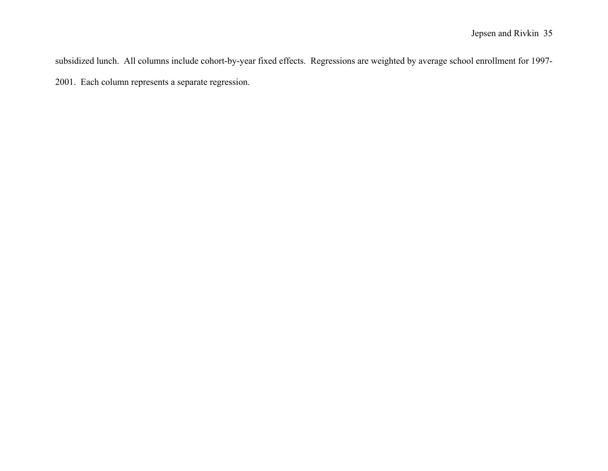subsidized lunch. All columns include cohort-by-year fixed effects. Regressions are weighted by average school enrollment for 1997- 2001. Each column represents a separate regression.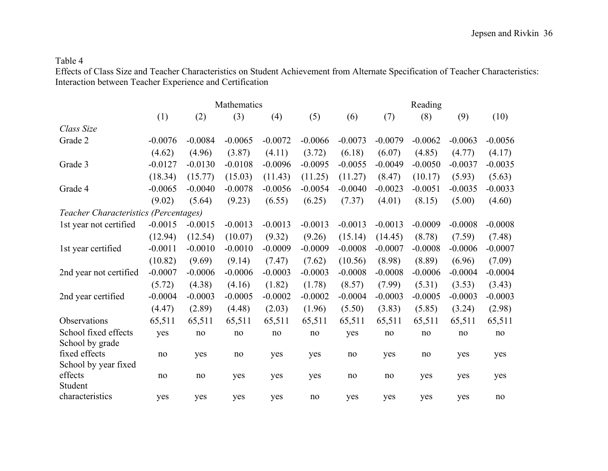#### Table 4

Effects of Class Size and Teacher Characteristics on Student Achievement from Alternate Specification of Teacher Characteristics: Interaction between Teacher Experience and Certification

|                                       | Mathematics |           |           |           | Reading   |           |           |           |           |           |
|---------------------------------------|-------------|-----------|-----------|-----------|-----------|-----------|-----------|-----------|-----------|-----------|
|                                       | (1)         | (2)       | (3)       | (4)       | (5)       | (6)       | (7)       | (8)       | (9)       | (10)      |
| Class Size                            |             |           |           |           |           |           |           |           |           |           |
| Grade 2                               | $-0.0076$   | $-0.0084$ | $-0.0065$ | $-0.0072$ | $-0.0066$ | $-0.0073$ | $-0.0079$ | $-0.0062$ | $-0.0063$ | $-0.0056$ |
|                                       | (4.62)      | (4.96)    | (3.87)    | (4.11)    | (3.72)    | (6.18)    | (6.07)    | (4.85)    | (4.77)    | (4.17)    |
| Grade 3                               | $-0.0127$   | $-0.0130$ | $-0.0108$ | $-0.0096$ | $-0.0095$ | $-0.0055$ | $-0.0049$ | $-0.0050$ | $-0.0037$ | $-0.0035$ |
|                                       | (18.34)     | (15.77)   | (15.03)   | (11.43)   | (11.25)   | (11.27)   | (8.47)    | (10.17)   | (5.93)    | (5.63)    |
| Grade 4                               | $-0.0065$   | $-0.0040$ | $-0.0078$ | $-0.0056$ | $-0.0054$ | $-0.0040$ | $-0.0023$ | $-0.0051$ | $-0.0035$ | $-0.0033$ |
|                                       | (9.02)      | (5.64)    | (9.23)    | (6.55)    | (6.25)    | (7.37)    | (4.01)    | (8.15)    | (5.00)    | (4.60)    |
| Teacher Characteristics (Percentages) |             |           |           |           |           |           |           |           |           |           |
| 1st year not certified                | $-0.0015$   | $-0.0015$ | $-0.0013$ | $-0.0013$ | $-0.0013$ | $-0.0013$ | $-0.0013$ | $-0.0009$ | $-0.0008$ | $-0.0008$ |
|                                       | (12.94)     | (12.54)   | (10.07)   | (9.32)    | (9.26)    | (15.14)   | (14.45)   | (8.78)    | (7.59)    | (7.48)    |
| 1st year certified                    | $-0.0011$   | $-0.0010$ | $-0.0010$ | $-0.0009$ | $-0.0009$ | $-0.0008$ | $-0.0007$ | $-0.0008$ | $-0.0006$ | $-0.0007$ |
|                                       | (10.82)     | (9.69)    | (9.14)    | (7.47)    | (7.62)    | (10.56)   | (8.98)    | (8.89)    | (6.96)    | (7.09)    |
| 2nd year not certified                | $-0.0007$   | $-0.0006$ | $-0.0006$ | $-0.0003$ | $-0.0003$ | $-0.0008$ | $-0.0008$ | $-0.0006$ | $-0.0004$ | $-0.0004$ |
|                                       | (5.72)      | (4.38)    | (4.16)    | (1.82)    | (1.78)    | (8.57)    | (7.99)    | (5.31)    | (3.53)    | (3.43)    |
| 2nd year certified                    | $-0.0004$   | $-0.0003$ | $-0.0005$ | $-0.0002$ | $-0.0002$ | $-0.0004$ | $-0.0003$ | $-0.0005$ | $-0.0003$ | $-0.0003$ |
|                                       | (4.47)      | (2.89)    | (4.48)    | (2.03)    | (1.96)    | (5.50)    | (3.83)    | (5.85)    | (3.24)    | (2.98)    |
| Observations                          | 65,511      | 65,511    | 65,511    | 65,511    | 65,511    | 65,511    | 65,511    | 65,511    | 65,511    | 65,511    |
| School fixed effects                  | yes         | no        | no        | no        | no        | yes       | no        | no        | no        | no        |
| School by grade                       |             |           |           |           |           |           |           |           |           |           |
| fixed effects                         | no          | yes       | no        | yes       | yes       | no        | yes       | no        | yes       | yes       |
| School by year fixed                  |             |           |           |           |           |           |           |           |           |           |
| effects                               | no          | no        | yes       | yes       | yes       | no        | no        | yes       | yes       | yes       |
| Student<br>characteristics            |             |           |           |           |           |           |           |           |           |           |
|                                       | yes         | yes       | yes       | yes       | no        | yes       | yes       | yes       | yes       | no        |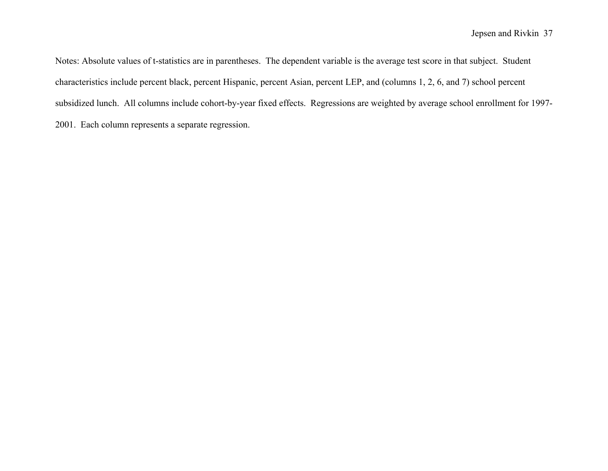Notes: Absolute values of t-statistics are in parentheses. The dependent variable is the average test score in that subject. Student characteristics include percent black, percent Hispanic, percent Asian, percent LEP, and (columns 1, 2, 6, and 7) school percent subsidized lunch. All columns include cohort-by-year fixed effects. Regressions are weighted by average school enrollment for 1997- 2001. Each column represents a separate regression.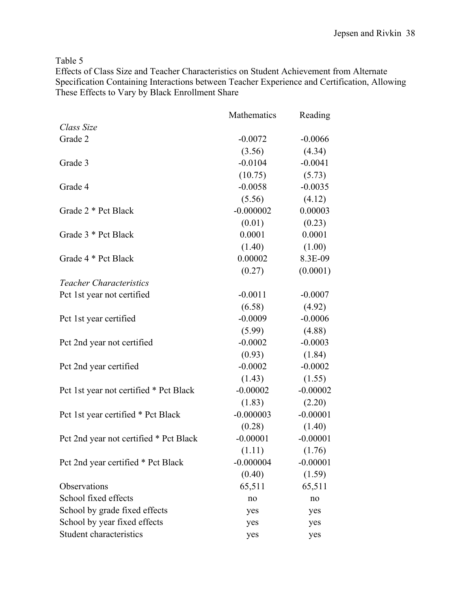Table 5

Effects of Class Size and Teacher Characteristics on Student Achievement from Alternate Specification Containing Interactions between Teacher Experience and Certification, Allowing These Effects to Vary by Black Enrollment Share

|                                        | Mathematics | Reading    |
|----------------------------------------|-------------|------------|
| Class Size                             |             |            |
| Grade 2                                | $-0.0072$   | $-0.0066$  |
|                                        | (3.56)      | (4.34)     |
| Grade 3                                | $-0.0104$   | $-0.0041$  |
|                                        | (10.75)     | (5.73)     |
| Grade 4                                | $-0.0058$   | $-0.0035$  |
|                                        | (5.56)      | (4.12)     |
| Grade 2 * Pct Black                    | $-0.000002$ | 0.00003    |
|                                        | (0.01)      | (0.23)     |
| Grade 3 * Pct Black                    | 0.0001      | 0.0001     |
|                                        | (1.40)      | (1.00)     |
| Grade 4 * Pct Black                    | 0.00002     | 8.3E-09    |
|                                        | (0.27)      | (0.0001)   |
| <b>Teacher Characteristics</b>         |             |            |
| Pct 1st year not certified             | $-0.0011$   | $-0.0007$  |
|                                        | (6.58)      | (4.92)     |
| Pct 1st year certified                 | $-0.0009$   | $-0.0006$  |
|                                        | (5.99)      | (4.88)     |
| Pct 2nd year not certified             | $-0.0002$   | $-0.0003$  |
|                                        | (0.93)      | (1.84)     |
| Pct 2nd year certified                 | $-0.0002$   | $-0.0002$  |
|                                        | (1.43)      | (1.55)     |
| Pct 1st year not certified * Pct Black | $-0.00002$  | $-0.00002$ |
|                                        | (1.83)      | (2.20)     |
| Pct 1st year certified * Pct Black     | $-0.000003$ | $-0.00001$ |
|                                        | (0.28)      | (1.40)     |
| Pct 2nd year not certified * Pct Black | $-0.00001$  | $-0.00001$ |
|                                        | (1.11)      | (1.76)     |
| Pct 2nd year certified * Pct Black     | $-0.000004$ | $-0.00001$ |
|                                        | (0.40)      | (1.59)     |
| Observations                           | 65,511      | 65,511     |
| School fixed effects                   | no          | no         |
| School by grade fixed effects          | yes         | yes        |
| School by year fixed effects           | yes         | yes        |
| Student characteristics                | yes         | yes        |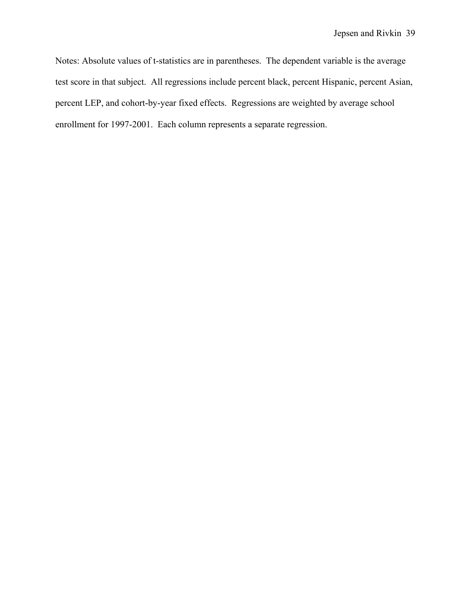Notes: Absolute values of t-statistics are in parentheses. The dependent variable is the average test score in that subject. All regressions include percent black, percent Hispanic, percent Asian, percent LEP, and cohort-by-year fixed effects. Regressions are weighted by average school enrollment for 1997-2001. Each column represents a separate regression.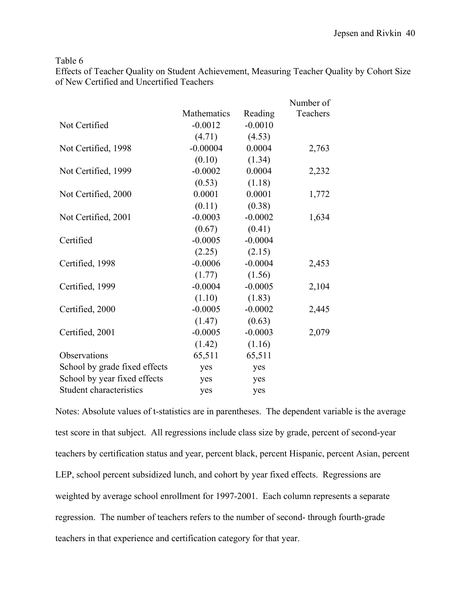Table 6

Effects of Teacher Quality on Student Achievement, Measuring Teacher Quality by Cohort Size of New Certified and Uncertified Teachers

|                               |             |           | Number of |
|-------------------------------|-------------|-----------|-----------|
|                               | Mathematics | Reading   | Teachers  |
| Not Certified                 | $-0.0012$   | $-0.0010$ |           |
|                               | (4.71)      | (4.53)    |           |
| Not Certified, 1998           | $-0.00004$  | 0.0004    | 2,763     |
|                               | (0.10)      | (1.34)    |           |
| Not Certified, 1999           | $-0.0002$   | 0.0004    | 2,232     |
|                               | (0.53)      | (1.18)    |           |
| Not Certified, 2000           | 0.0001      | 0.0001    | 1,772     |
|                               | (0.11)      | (0.38)    |           |
| Not Certified, 2001           | $-0.0003$   | $-0.0002$ | 1,634     |
|                               | (0.67)      | (0.41)    |           |
| Certified                     | $-0.0005$   | $-0.0004$ |           |
|                               | (2.25)      | (2.15)    |           |
| Certified, 1998               | $-0.0006$   | $-0.0004$ | 2,453     |
|                               | (1.77)      | (1.56)    |           |
| Certified, 1999               | $-0.0004$   | $-0.0005$ | 2,104     |
|                               | (1.10)      | (1.83)    |           |
| Certified, 2000               | $-0.0005$   | $-0.0002$ | 2,445     |
|                               | (1.47)      | (0.63)    |           |
| Certified, 2001               | $-0.0005$   | $-0.0003$ | 2,079     |
|                               | (1.42)      | (1.16)    |           |
| Observations                  | 65,511      | 65,511    |           |
| School by grade fixed effects | yes         | yes       |           |
| School by year fixed effects  | yes         | yes       |           |
| Student characteristics       | yes         | yes       |           |

Notes: Absolute values of t-statistics are in parentheses. The dependent variable is the average test score in that subject. All regressions include class size by grade, percent of second-year teachers by certification status and year, percent black, percent Hispanic, percent Asian, percent LEP, school percent subsidized lunch, and cohort by year fixed effects. Regressions are weighted by average school enrollment for 1997-2001. Each column represents a separate regression. The number of teachers refers to the number of second- through fourth-grade teachers in that experience and certification category for that year.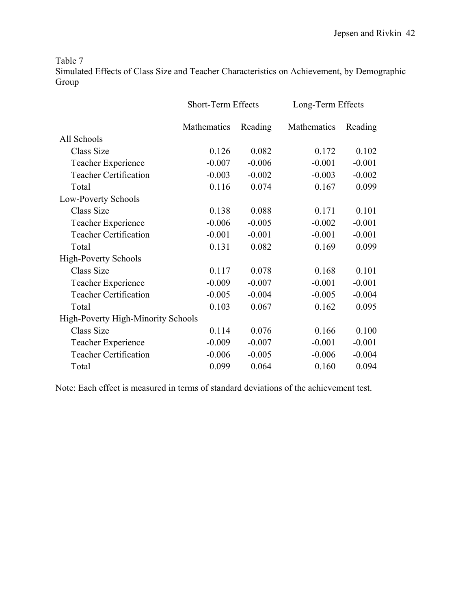Table 7

Simulated Effects of Class Size and Teacher Characteristics on Achievement, by Demographic Group

|                                    | Short-Term Effects |          | Long-Term Effects |          |
|------------------------------------|--------------------|----------|-------------------|----------|
|                                    | Mathematics        | Reading  | Mathematics       | Reading  |
| All Schools                        |                    |          |                   |          |
| Class Size                         | 0.126              | 0.082    | 0.172             | 0.102    |
| Teacher Experience                 | $-0.007$           | $-0.006$ | $-0.001$          | $-0.001$ |
| <b>Teacher Certification</b>       | $-0.003$           | $-0.002$ | $-0.003$          | $-0.002$ |
| Total                              | 0.116              | 0.074    | 0.167             | 0.099    |
| Low-Poverty Schools                |                    |          |                   |          |
| <b>Class Size</b>                  | 0.138              | 0.088    | 0.171             | 0.101    |
| Teacher Experience                 | $-0.006$           | $-0.005$ | $-0.002$          | $-0.001$ |
| <b>Teacher Certification</b>       | $-0.001$           | $-0.001$ | $-0.001$          | $-0.001$ |
| Total                              | 0.131              | 0.082    | 0.169             | 0.099    |
| High-Poverty Schools               |                    |          |                   |          |
| Class Size                         | 0.117              | 0.078    | 0.168             | 0.101    |
| Teacher Experience                 | $-0.009$           | $-0.007$ | $-0.001$          | $-0.001$ |
| <b>Teacher Certification</b>       | $-0.005$           | $-0.004$ | $-0.005$          | $-0.004$ |
| Total                              | 0.103              | 0.067    | 0.162             | 0.095    |
| High-Poverty High-Minority Schools |                    |          |                   |          |
| <b>Class Size</b>                  | 0.114              | 0.076    | 0.166             | 0.100    |
| <b>Teacher Experience</b>          | $-0.009$           | $-0.007$ | $-0.001$          | $-0.001$ |
| <b>Teacher Certification</b>       | $-0.006$           | $-0.005$ | $-0.006$          | $-0.004$ |
| Total                              | 0.099              | 0.064    | 0.160             | 0.094    |

Note: Each effect is measured in terms of standard deviations of the achievement test.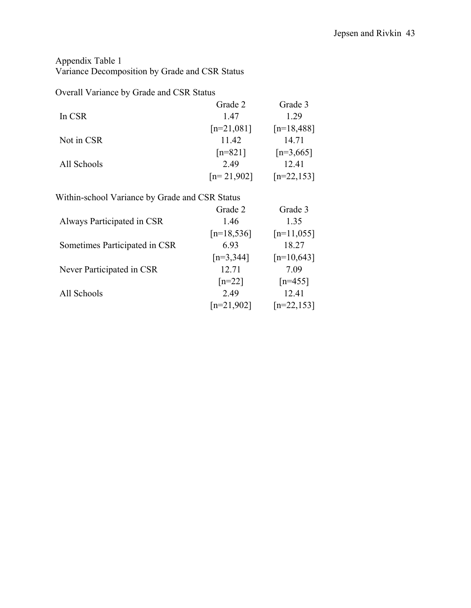# Appendix Table 1 Variance Decomposition by Grade and CSR Status

# Overall Variance by Grade and CSR Status

|             | Grade 2      | Grade 3       |
|-------------|--------------|---------------|
| In CSR      | 147          | 1.29          |
|             | $[n=21,081]$ | $[n=18,488]$  |
| Not in CSR  | 11.42        | 14.71         |
|             | $[n=821]$    | $[n=3,665]$   |
| All Schools | 2.49         | 12.41         |
|             | $[n=21,902]$ | $[n=22, 153]$ |
|             |              |               |

Within-school Variance by Grade and CSR Status

|                               | Grade 2       | Grade 3       |
|-------------------------------|---------------|---------------|
| Always Participated in CSR    | 146           | 1.35          |
|                               | $[n=18, 536]$ | $[n=11,055]$  |
| Sometimes Participated in CSR | 6.93          | 18.27         |
|                               | $[n=3,344]$   | $[n=10,643]$  |
| Never Participated in CSR     | 12.71         | 7.09          |
|                               | $[n=22]$      | $[n=455]$     |
| All Schools                   | 2.49          | 12.41         |
|                               | $[n=21,902]$  | $[n=22, 153]$ |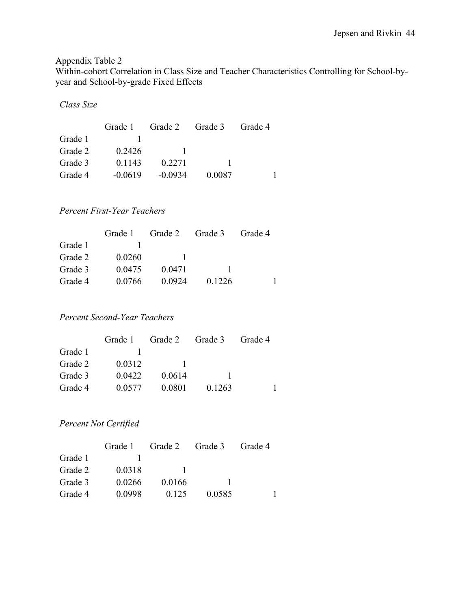# Appendix Table 2

Within-cohort Correlation in Class Size and Teacher Characteristics Controlling for School-byyear and School-by-grade Fixed Effects

*Class Size*

|         |           | Grade 1 Grade 2 Grade 3 Grade 4 |        |  |
|---------|-----------|---------------------------------|--------|--|
| Grade 1 |           |                                 |        |  |
| Grade 2 | 0.2426    |                                 |        |  |
| Grade 3 | 0.1143    | 0 2 2 7 1                       |        |  |
| Grade 4 | $-0.0619$ | $-0.0934$                       | 0.0087 |  |

# *Percent First-Year Teachers*

|         | Grade 1 | Grade 2 Grade 3 |           | Grade 4 |
|---------|---------|-----------------|-----------|---------|
| Grade 1 |         |                 |           |         |
| Grade 2 | 0.0260  |                 |           |         |
| Grade 3 | 0.0475  | 0.0471          |           |         |
| Grade 4 | 0.0766  | 0.0924          | 0 1 2 2 6 |         |

# *Percent Second-Year Teachers*

|         | Grade 1 | Grade 2 Grade 3 |        | Grade 4 |
|---------|---------|-----------------|--------|---------|
| Grade 1 |         |                 |        |         |
| Grade 2 | 0.0312  |                 |        |         |
| Grade 3 | 0.0422  | 0.0614          |        |         |
| Grade 4 | 0.0577  | 0.0801          | 0.1263 |         |

# *Percent Not Certified*

|         |        | Grade 1 Grade 2 Grade 3 |        | Grade 4 |
|---------|--------|-------------------------|--------|---------|
| Grade 1 |        |                         |        |         |
| Grade 2 | 0.0318 |                         |        |         |
| Grade 3 | 0.0266 | 0.0166                  |        |         |
| Grade 4 | 0.0998 | 0.125                   | 0.0585 |         |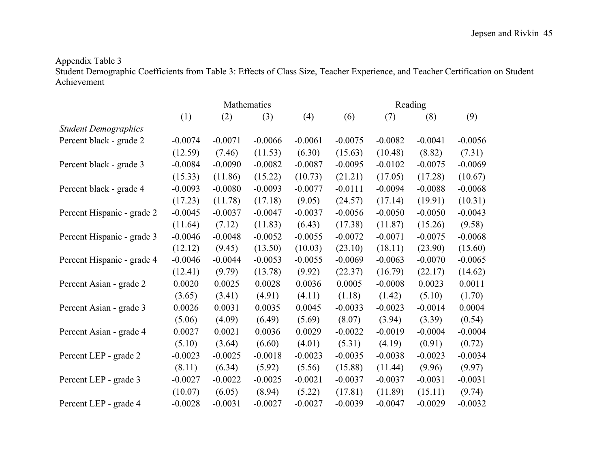# Appendix Table 3

Student Demographic Coefficients from Table 3: Effects of Class Size, Teacher Experience, and Teacher Certification on Student Achievement

|                             | Mathematics |           |           | Reading   |           |           |           |           |
|-----------------------------|-------------|-----------|-----------|-----------|-----------|-----------|-----------|-----------|
|                             | (1)         | (2)       | (3)       | (4)       | (6)       | (7)       | (8)       | (9)       |
| <b>Student Demographics</b> |             |           |           |           |           |           |           |           |
| Percent black - grade 2     | $-0.0074$   | $-0.0071$ | $-0.0066$ | $-0.0061$ | $-0.0075$ | $-0.0082$ | $-0.0041$ | $-0.0056$ |
|                             | (12.59)     | (7.46)    | (11.53)   | (6.30)    | (15.63)   | (10.48)   | (8.82)    | (7.31)    |
| Percent black - grade 3     | $-0.0084$   | $-0.0090$ | $-0.0082$ | $-0.0087$ | $-0.0095$ | $-0.0102$ | $-0.0075$ | $-0.0069$ |
|                             | (15.33)     | (11.86)   | (15.22)   | (10.73)   | (21.21)   | (17.05)   | (17.28)   | (10.67)   |
| Percent black - grade 4     | $-0.0093$   | $-0.0080$ | $-0.0093$ | $-0.0077$ | $-0.0111$ | $-0.0094$ | $-0.0088$ | $-0.0068$ |
|                             | (17.23)     | (11.78)   | (17.18)   | (9.05)    | (24.57)   | (17.14)   | (19.91)   | (10.31)   |
| Percent Hispanic - grade 2  | $-0.0045$   | $-0.0037$ | $-0.0047$ | $-0.0037$ | $-0.0056$ | $-0.0050$ | $-0.0050$ | $-0.0043$ |
|                             | (11.64)     | (7.12)    | (11.83)   | (6.43)    | (17.38)   | (11.87)   | (15.26)   | (9.58)    |
| Percent Hispanic - grade 3  | $-0.0046$   | $-0.0048$ | $-0.0052$ | $-0.0055$ | $-0.0072$ | $-0.0071$ | $-0.0075$ | $-0.0068$ |
|                             | (12.12)     | (9.45)    | (13.50)   | (10.03)   | (23.10)   | (18.11)   | (23.90)   | (15.60)   |
| Percent Hispanic - grade 4  | $-0.0046$   | $-0.0044$ | $-0.0053$ | $-0.0055$ | $-0.0069$ | $-0.0063$ | $-0.0070$ | $-0.0065$ |
|                             | (12.41)     | (9.79)    | (13.78)   | (9.92)    | (22.37)   | (16.79)   | (22.17)   | (14.62)   |
| Percent Asian - grade 2     | 0.0020      | 0.0025    | 0.0028    | 0.0036    | 0.0005    | $-0.0008$ | 0.0023    | 0.0011    |
|                             | (3.65)      | (3.41)    | (4.91)    | (4.11)    | (1.18)    | (1.42)    | (5.10)    | (1.70)    |
| Percent Asian - grade 3     | 0.0026      | 0.0031    | 0.0035    | 0.0045    | $-0.0033$ | $-0.0023$ | $-0.0014$ | 0.0004    |
|                             | (5.06)      | (4.09)    | (6.49)    | (5.69)    | (8.07)    | (3.94)    | (3.39)    | (0.54)    |
| Percent Asian - grade 4     | 0.0027      | 0.0021    | 0.0036    | 0.0029    | $-0.0022$ | $-0.0019$ | $-0.0004$ | $-0.0004$ |
|                             | (5.10)      | (3.64)    | (6.60)    | (4.01)    | (5.31)    | (4.19)    | (0.91)    | (0.72)    |
| Percent LEP - grade 2       | $-0.0023$   | $-0.0025$ | $-0.0018$ | $-0.0023$ | $-0.0035$ | $-0.0038$ | $-0.0023$ | $-0.0034$ |
|                             | (8.11)      | (6.34)    | (5.92)    | (5.56)    | (15.88)   | (11.44)   | (9.96)    | (9.97)    |
| Percent LEP - grade 3       | $-0.0027$   | $-0.0022$ | $-0.0025$ | $-0.0021$ | $-0.0037$ | $-0.0037$ | $-0.0031$ | $-0.0031$ |
|                             | (10.07)     | (6.05)    | (8.94)    | (5.22)    | (17.81)   | (11.89)   | (15.11)   | (9.74)    |
| Percent LEP - grade 4       | $-0.0028$   | $-0.0031$ | $-0.0027$ | $-0.0027$ | $-0.0039$ | $-0.0047$ | $-0.0029$ | $-0.0032$ |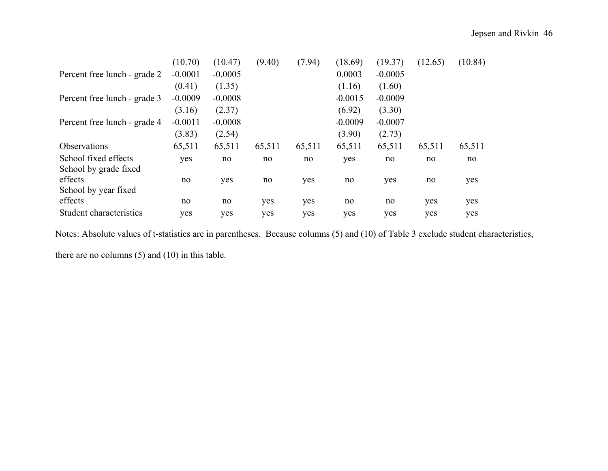|                              | (10.70)   | (10.47)   | (9.40) | (7.94) | (18.69)   | (19.37)   | (12.65) | (10.84) |
|------------------------------|-----------|-----------|--------|--------|-----------|-----------|---------|---------|
| Percent free lunch - grade 2 | $-0.0001$ | $-0.0005$ |        |        | 0.0003    | $-0.0005$ |         |         |
|                              | (0.41)    | (1.35)    |        |        | (1.16)    | (1.60)    |         |         |
| Percent free lunch - grade 3 | $-0.0009$ | $-0.0008$ |        |        | $-0.0015$ | $-0.0009$ |         |         |
|                              | (3.16)    | (2.37)    |        |        | (6.92)    | (3.30)    |         |         |
| Percent free lunch - grade 4 | $-0.0011$ | $-0.0008$ |        |        | $-0.0009$ | $-0.0007$ |         |         |
|                              | (3.83)    | (2.54)    |        |        | (3.90)    | (2.73)    |         |         |
| Observations                 | 65,511    | 65,511    | 65,511 | 65,511 | 65,511    | 65,511    | 65,511  | 65,511  |
| School fixed effects         | yes       | no        | no     | no     | yes       | no        | no      | no      |
| School by grade fixed        |           |           |        |        |           |           |         |         |
| effects                      | no        | yes       | no     | yes    | no        | yes       | no      | yes     |
| School by year fixed         |           |           |        |        |           |           |         |         |
| effects                      | no        | no        | yes    | yes    | no        | no        | yes     | yes     |
| Student characteristics      | yes       | yes       | yes    | yes    | yes       | yes       | yes     | yes     |

Notes: Absolute values of t-statistics are in parentheses. Because columns (5) and (10) of Table 3 exclude student characteristics,

there are no columns (5) and (10) in this table.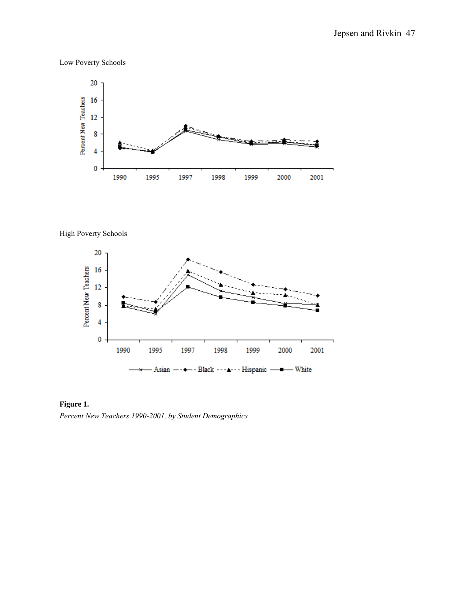Low Poverty Schools



High Poverty Schools



**Figure 1.**  *Percent New Teachers 1990-2001, by Student Demographics*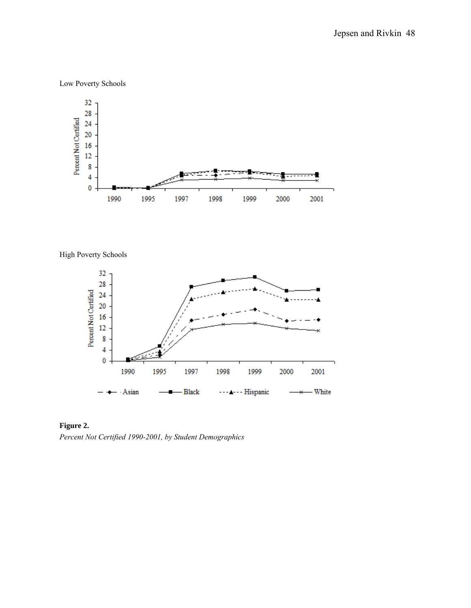Low Poverty Schools



High Poverty Schools



**Figure 2.**  *Percent Not Certified 1990-2001, by Student Demographics*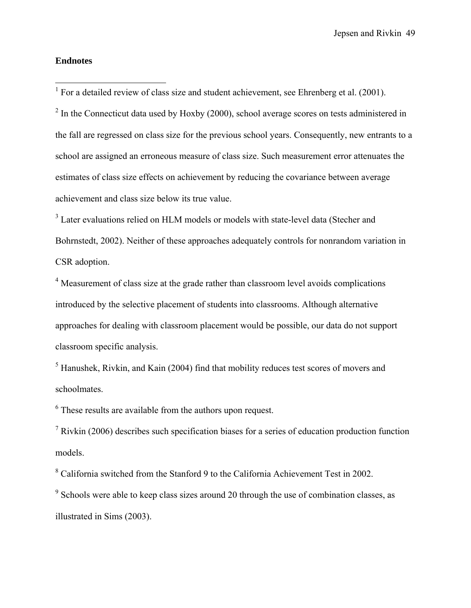Jepsen and Rivkin 49

#### **Endnotes**

<sup>1</sup> For a detailed review of class size and student achievement, see Ehrenberg et al. (2001).

 $2 \text{ In the Connecticut data used by Hoxby (2000), school average scores on tests administered in }$ the fall are regressed on class size for the previous school years. Consequently, new entrants to a school are assigned an erroneous measure of class size. Such measurement error attenuates the estimates of class size effects on achievement by reducing the covariance between average achievement and class size below its true value.

<sup>3</sup> Later evaluations relied on HLM models or models with state-level data (Stecher and Bohrnstedt, 2002). Neither of these approaches adequately controls for nonrandom variation in CSR adoption.

<sup>4</sup> Measurement of class size at the grade rather than classroom level avoids complications introduced by the selective placement of students into classrooms. Although alternative approaches for dealing with classroom placement would be possible, our data do not support classroom specific analysis.

<sup>5</sup> Hanushek, Rivkin, and Kain (2004) find that mobility reduces test scores of movers and schoolmates.

 $6$  These results are available from the authors upon request.

 $7$  Rivkin (2006) describes such specification biases for a series of education production function models.

<sup>8</sup> California switched from the Stanford 9 to the California Achievement Test in 2002.

 $9^9$  Schools were able to keep class sizes around 20 through the use of combination classes, as illustrated in Sims (2003).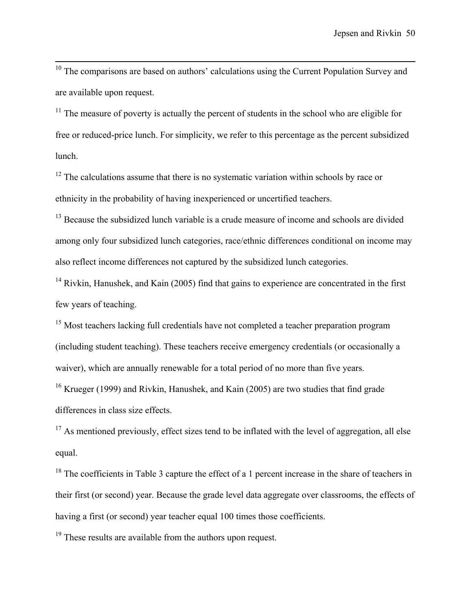<sup>10</sup> The comparisons are based on authors' calculations using the Current Population Survey and are available upon request.

<sup>11</sup> The measure of poverty is actually the percent of students in the school who are eligible for free or reduced-price lunch. For simplicity, we refer to this percentage as the percent subsidized lunch.

 $12$  The calculations assume that there is no systematic variation within schools by race or ethnicity in the probability of having inexperienced or uncertified teachers.

<sup>13</sup> Because the subsidized lunch variable is a crude measure of income and schools are divided among only four subsidized lunch categories, race/ethnic differences conditional on income may also reflect income differences not captured by the subsidized lunch categories.

 $14$  Rivkin, Hanushek, and Kain (2005) find that gains to experience are concentrated in the first few years of teaching.

<sup>15</sup> Most teachers lacking full credentials have not completed a teacher preparation program (including student teaching). These teachers receive emergency credentials (or occasionally a waiver), which are annually renewable for a total period of no more than five years.

<sup>16</sup> Krueger (1999) and Rivkin, Hanushek, and Kain (2005) are two studies that find grade differences in class size effects.

 $17$  As mentioned previously, effect sizes tend to be inflated with the level of aggregation, all else equal.

<sup>18</sup> The coefficients in Table 3 capture the effect of a 1 percent increase in the share of teachers in their first (or second) year. Because the grade level data aggregate over classrooms, the effects of having a first (or second) year teacher equal 100 times those coefficients.

<sup>19</sup> These results are available from the authors upon request.